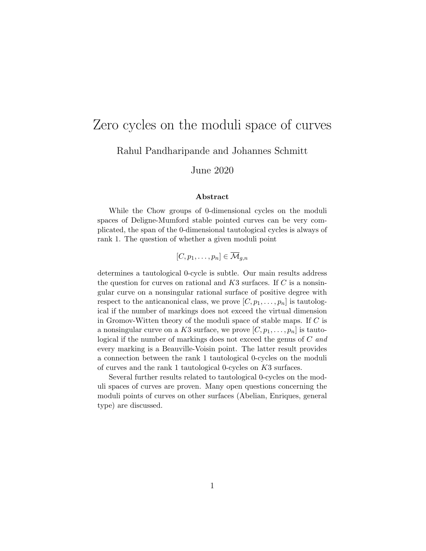# Zero cycles on the moduli space of curves

Rahul Pandharipande and Johannes Schmitt

June 2020

#### Abstract

While the Chow groups of 0-dimensional cycles on the moduli spaces of Deligne-Mumford stable pointed curves can be very complicated, the span of the 0-dimensional tautological cycles is always of rank 1. The question of whether a given moduli point

 $[C, p_1, \ldots, p_n] \in \overline{\mathcal{M}}_{q,n}$ 

determines a tautological 0-cycle is subtle. Our main results address the question for curves on rational and  $K3$  surfaces. If  $C$  is a nonsingular curve on a nonsingular rational surface of positive degree with respect to the anticanonical class, we prove  $[C, p_1, \ldots, p_n]$  is tautological if the number of markings does not exceed the virtual dimension in Gromov-Witten theory of the moduli space of stable maps. If  $C$  is a nonsingular curve on a K3 surface, we prove  $[C, p_1, \ldots, p_n]$  is tautological if the number of markings does not exceed the genus of C and every marking is a Beauville-Voisin point. The latter result provides a connection between the rank 1 tautological 0-cycles on the moduli of curves and the rank 1 tautological 0-cycles on K3 surfaces.

Several further results related to tautological 0-cycles on the moduli spaces of curves are proven. Many open questions concerning the moduli points of curves on other surfaces (Abelian, Enriques, general type) are discussed.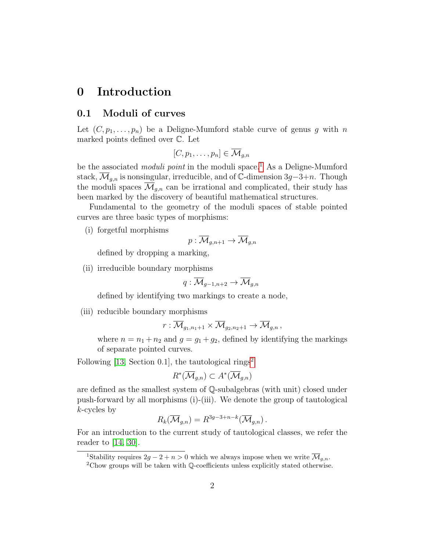### 0 Introduction

#### 0.1 Moduli of curves

Let  $(C, p_1, \ldots, p_n)$  be a Deligne-Mumford stable curve of genus g with n marked points defined over C. Let

$$
[C, p_1, \ldots, p_n] \in \overline{\mathcal{M}}_{g,n}
$$

be the associated *moduli point* in the moduli space.<sup>[1](#page-1-0)</sup> As a Deligne-Mumford stack,  $\overline{\mathcal{M}}_{g,n}$  is nonsingular, irreducible, and of C-dimension 3g–3+n. Though the moduli spaces  $\mathcal{M}_{g,n}$  can be irrational and complicated, their study has been marked by the discovery of beautiful mathematical structures.

Fundamental to the geometry of the moduli spaces of stable pointed curves are three basic types of morphisms:

(i) forgetful morphisms

$$
p:\overline{\mathcal{M}}_{g,n+1}\to\overline{\mathcal{M}}_{g,n}
$$

defined by dropping a marking,

(ii) irreducible boundary morphisms

$$
q:\overline{\mathcal{M}}_{g-1,n+2}\to\overline{\mathcal{M}}_{g,n}
$$

defined by identifying two markings to create a node,

(iii) reducible boundary morphisms

$$
r:\overline{\mathcal{M}}_{g_1,n_1+1}\times\overline{\mathcal{M}}_{g_2,n_2+1}\to\overline{\mathcal{M}}_{g,n}\,,
$$

where  $n = n_1 + n_2$  and  $g = g_1 + g_2$ , defined by identifying the markings of separate pointed curves.

Following  $[13, Section 0.1]$ , the tautological rings<sup>[2](#page-1-1)</sup>

$$
R^*(\overline{\mathcal{M}}_{g,n}) \subset A^*(\overline{\mathcal{M}}_{g,n})
$$

are defined as the smallest system of Q-subalgebras (with unit) closed under push-forward by all morphisms (i)-(iii). We denote the group of tautological  $k$ -cycles by

$$
R_k(\overline{\mathcal{M}}_{g,n}) = R^{3g-3+n-k}(\overline{\mathcal{M}}_{g,n}).
$$

For an introduction to the current study of tautological classes, we refer the reader to  $[14, 30]$  $[14, 30]$ .

<span id="page-1-0"></span><sup>&</sup>lt;sup>1</sup>Stability requires  $2g - 2 + n > 0$  which we always impose when we write  $\overline{\mathcal{M}}_{g,n}$ .

<span id="page-1-1"></span><sup>2</sup>Chow groups will be taken with Q-coefficients unless explicitly stated otherwise.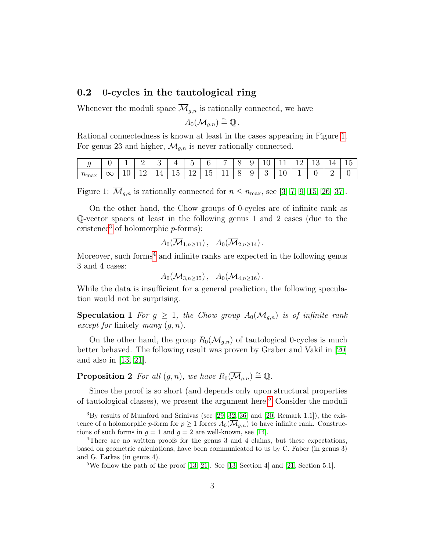### 0.2 0-cycles in the tautological ring

Whenever the moduli space  $\overline{\mathcal{M}}_{g,n}$  is rationally connected, we have

$$
A_0(\overline{\mathcal{M}}_{g,n})\stackrel{\sim}{=}\mathbb{Q}.
$$

Rational connectedness is known at least in the cases appearing in Figure [1.](#page-2-0) For genus 23 and higher,  $\overline{\mathcal{M}}_{g,n}$  is never rationally connected.

|                                       |          |   | ∸  | ◡                               | <b>T</b>                | $\tilde{\phantom{a}}$<br>                                  |                               | $\overline{\phantom{0}}$              | ◡ | ັ | ∸ |                  | $\sim$<br>-- 11 | <b>L'</b><br>◡ | ー | . .<br>∸ |
|---------------------------------------|----------|---|----|---------------------------------|-------------------------|------------------------------------------------------------|-------------------------------|---------------------------------------|---|---|---|------------------|-----------------|----------------|---|----------|
| $\sim$<br>$^{\prime}$ $^{\prime}$ max | $\infty$ | - | -- | $\overline{\phantom{a}}$<br>. . | --<br>$\mathsf{L}$<br>∸ | $\overline{\phantom{a}}$<br>--<br>$\overline{\phantom{0}}$ | -<br>l h<br>--<br>$\check{ }$ | <u>. </u><br>$\overline{\phantom{0}}$ | ◡ | ັ | ಀ | $\check{~}$<br>- | -<br>—          | ັ              | _ |          |

<span id="page-2-0"></span>Figure 1:  $\overline{\mathcal{M}}_{q,n}$  is rationally connected for  $n \leq n_{\text{max}}$ , see [\[3,](#page-35-0) [7,](#page-36-2) [9,](#page-36-3) [15,](#page-36-4) [26,](#page-37-0) [37\]](#page-38-1).

On the other hand, the Chow groups of 0-cycles are of infinite rank as Q-vector spaces at least in the following genus 1 and 2 cases (due to the existence<sup>[3](#page-2-1)</sup> of holomorphic  $p$ -forms):

$$
A_0(\overline{\mathcal{M}}_{1,n\geq 11}),\ \ A_0(\overline{\mathcal{M}}_{2,n\geq 14}).
$$

Moreover, such forms<sup>[4](#page-2-2)</sup> and infinite ranks are expected in the following genus 3 and 4 cases:

$$
A_0(\overline{\mathcal{M}}_{3,n\geq 15}),\quad A_0(\overline{\mathcal{M}}_{4,n\geq 16}).
$$

While the data is insufficient for a general prediction, the following speculation would not be surprising.

**Speculation 1** For  $g \geq 1$ , the Chow group  $A_0(\overline{\mathcal{M}}_{g,n})$  is of infinite rank except for finitely many  $(g, n)$ .

On the other hand, the group  $R_0(\mathcal{M}_{q,n})$  of tautological 0-cycles is much better behaved. The following result was proven by Graber and Vakil in [\[20\]](#page-37-1) and also in [\[13,](#page-36-0) [21\]](#page-37-2).

**Proposition 2** For all  $(g, n)$ , we have  $R_0(\overline{\mathcal{M}}_{g,n}) \stackrel{\sim}{=} \mathbb{Q}$ .

Since the proof is so short (and depends only upon structural properties of tautological classes), we present the argument here.[5](#page-2-3) Consider the moduli

<span id="page-2-1"></span> ${}^{3}$ By results of Mumford and Srinivas (see [\[29,](#page-38-2) [32,](#page-38-3) [36\]](#page-38-4) and [\[20,](#page-37-1) Remark 1.1]), the existence of a holomorphic p-form for  $p \geq 1$  forces  $A_0(\overline{\mathcal{M}}_{g,n})$  to have infinite rank. Constructions of such forms in  $g = 1$  and  $g = 2$  are well-known, see [\[14\]](#page-36-1).

<span id="page-2-2"></span><sup>&</sup>lt;sup>4</sup>There are no written proofs for the genus 3 and 4 claims, but these expectations, based on geometric calculations, have been communicated to us by C. Faber (in genus 3) and G. Farkas (in genus 4).

<span id="page-2-3"></span><sup>&</sup>lt;sup>5</sup>We follow the path of the proof [\[13,](#page-36-0) [21\]](#page-37-2). See [13, Section 4] and [\[21,](#page-37-2) Section 5.1].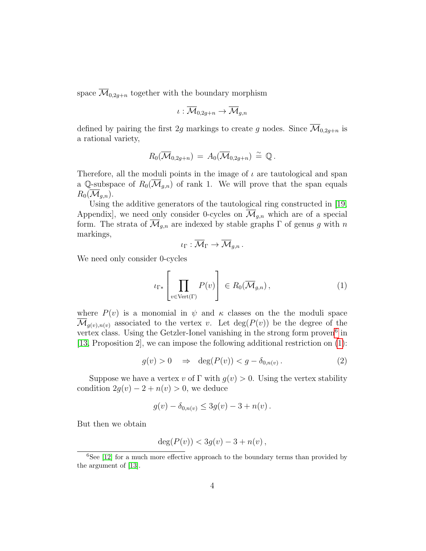space  $\mathcal{M}_{0,2q+n}$  together with the boundary morphism

$$
\iota:\overline{\mathcal{M}}_{0,2g+n}\to\overline{\mathcal{M}}_{g,n}
$$

defined by pairing the first 2g markings to create g nodes. Since  $\overline{\mathcal{M}}_{0,2g+n}$  is a rational variety,

$$
R_0(\overline{\mathcal{M}}_{0,2g+n})\,=\,A_0(\overline{\mathcal{M}}_{0,2g+n})\,\stackrel{\sim}{=}\, \mathbb{Q}\,.
$$

Therefore, all the moduli points in the image of  $\iota$  are tautological and span a Q-subspace of  $R_0(\overline{\mathcal{M}}_{g,n})$  of rank 1. We will prove that the span equals  $R_0(\overline{\mathcal{M}}_{q,n}).$ 

Using the additive generators of the tautological ring constructed in [\[19,](#page-37-3) Appendix, we need only consider 0-cycles on  $\overline{\mathcal{M}}_{q,n}$  which are of a special form. The strata of  $\overline{\mathcal{M}}_{g,n}$  are indexed by stable graphs  $\Gamma$  of genus g with n markings,

$$
\iota_{\Gamma}:\overline{\mathcal{M}}_{\Gamma}\to\overline{\mathcal{M}}_{g,n}.
$$

We need only consider 0-cycles

<span id="page-3-1"></span>
$$
\iota_{\Gamma*} \left[ \prod_{v \in \text{Vert}(\Gamma)} P(v) \right] \in R_0(\overline{\mathcal{M}}_{g,n}), \tag{1}
$$

where  $P(v)$  is a monomial in  $\psi$  and  $\kappa$  classes on the the moduli space  $\overline{\mathcal{M}}_{g(v),n(v)}$  associated to the vertex v. Let  $\deg(P(v))$  be the degree of the vertex class. Using the Getzler-Ionel vanishing in the strong form proven<sup>[6](#page-3-0)</sup> in [\[13,](#page-36-0) Proposition 2], we can impose the following additional restriction on [\(1\)](#page-3-1):

$$
g(v) > 0 \quad \Rightarrow \quad \deg(P(v)) < g - \delta_{0,n(v)} \,. \tag{2}
$$

Suppose we have a vertex v of  $\Gamma$  with  $g(v) > 0$ . Using the vertex stability condition  $2g(v) - 2 + n(v) > 0$ , we deduce

$$
g(v) - \delta_{0,n(v)} \leq 3g(v) - 3 + n(v).
$$

But then we obtain

$$
deg(P(v)) < 3g(v) - 3 + n(v),
$$

<span id="page-3-0"></span> ${}^{6}$ See [\[12\]](#page-36-5) for a much more effective approach to the boundary terms than provided by the argument of [\[13\]](#page-36-0).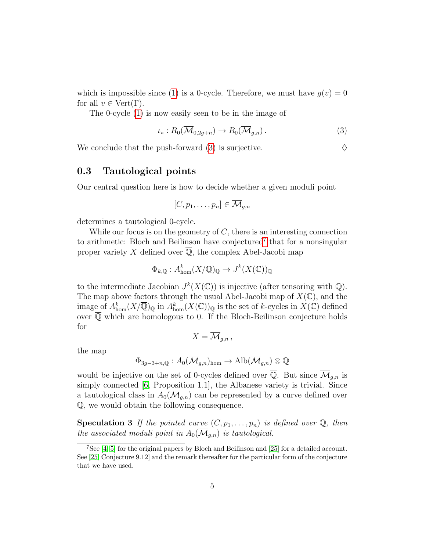which is impossible since [\(1\)](#page-3-1) is a 0-cycle. Therefore, we must have  $g(v) = 0$ for all  $v \in \text{Vert}(\Gamma)$ .

The 0-cycle [\(1\)](#page-3-1) is now easily seen to be in the image of

<span id="page-4-0"></span>
$$
\iota_*: R_0(\overline{\mathcal{M}}_{0,2g+n}) \to R_0(\overline{\mathcal{M}}_{g,n}). \tag{3}
$$

We conclude that the push-forward [\(3\)](#page-4-0) is surjective.  $\Diamond$ 

### 0.3 Tautological points

Our central question here is how to decide whether a given moduli point

$$
[C, p_1, \ldots, p_n] \in \overline{\mathcal{M}}_{g,n}
$$

determines a tautological 0-cycle.

While our focus is on the geometry of  $C$ , there is an interesting connection to arithmetic: Bloch and Beilinson have conjectured<sup>[7](#page-4-1)</sup> that for a nonsingular proper variety X defined over  $\overline{Q}$ , the complex Abel-Jacobi map

$$
\Phi_{k,\mathbb{Q}}: A^k_{\text{hom}}(X/\overline{\mathbb{Q}})_{\mathbb{Q}} \to J^k(X(\mathbb{C}))_{\mathbb{Q}}
$$

to the intermediate Jacobian  $J^k(X(\mathbb{C}))$  is injective (after tensoring with  $\mathbb{Q}$ ). The map above factors through the usual Abel-Jacobi map of  $X(\mathbb{C})$ , and the image of  $A_{\text{hom}}^k(X/\overline{\mathbb{Q}})_{\mathbb{Q}}$  in  $A_{\text{hom}}^k(X(\mathbb{C}))_{\mathbb{Q}}$  is the set of k-cycles in  $X(\mathbb{C})$  defined over  $\overline{Q}$  which are homologous to 0. If the Bloch-Beilinson conjecture holds for

$$
X=\overline{\mathcal{M}}_{g,n},
$$

the map

$$
\Phi_{3g-3+n,\mathbb{Q}}: A_0(\overline{\mathcal{M}}_{g,n})_{\text{hom}} \to \text{Alb}(\overline{\mathcal{M}}_{g,n}) \otimes \mathbb{Q}
$$

would be injective on the set of 0-cycles defined over  $\overline{Q}$ . But since  $\overline{\mathcal{M}}_{g,n}$  is simply connected [\[6,](#page-35-1) Proposition 1.1], the Albanese variety is trivial. Since a tautological class in  $A_0(\mathcal{M}_{g,n})$  can be represented by a curve defined over Q, we would obtain the following consequence.

<span id="page-4-2"></span>**Speculation 3** If the pointed curve  $(C, p_1, \ldots, p_n)$  is defined over  $\overline{\mathbb{Q}}$ , then the associated moduli point in  $A_0(\overline{\mathcal{M}}_{q,n})$  is tautological.

<span id="page-4-1"></span><sup>7</sup>See [\[4,](#page-35-2) [5\]](#page-35-3) for the original papers by Bloch and Beilinson and [\[25\]](#page-37-4) for a detailed account. See [\[25,](#page-37-4) Conjecture 9.12] and the remark thereafter for the particular form of the conjecture that we have used.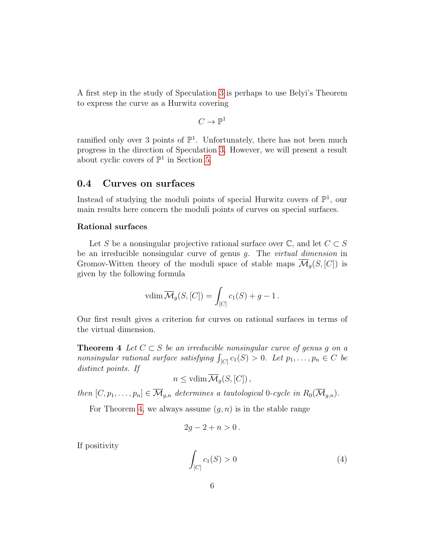A first step in the study of Speculation [3](#page-4-2) is perhaps to use Belyi's Theorem to express the curve as a Hurwitz covering

$$
C\to \mathbb{P}^1
$$

ramified only over 3 points of  $\mathbb{P}^1$ . Unfortunately, there has not been much progress in the direction of Speculation [3.](#page-4-2) However, we will present a result about cyclic covers of  $\mathbb{P}^1$  in Section [5.](#page-27-0)

#### 0.4 Curves on surfaces

Instead of studying the moduli points of special Hurwitz covers of  $\mathbb{P}^1$ , our main results here concern the moduli points of curves on special surfaces.

#### Rational surfaces

Let S be a nonsingular projective rational surface over  $\mathbb{C}$ , and let  $C \subset S$ be an irreducible nonsingular curve of genus g. The virtual dimension in Gromov-Witten theory of the moduli space of stable maps  $\overline{\mathcal{M}}_q(S, [C])$  is given by the following formula

$$
vdim \overline{\mathcal{M}}_g(S, [C]) = \int_{[C]} c_1(S) + g - 1.
$$

Our first result gives a criterion for curves on rational surfaces in terms of the virtual dimension.

<span id="page-5-0"></span>**Theorem 4** Let  $C \subset S$  be an irreducible nonsingular curve of genus g on a nonsingular rational surface satisfying  $\int_{[C]} c_1(S) > 0$ . Let  $p_1, \ldots, p_n \in C$  be distinct points. If

$$
n \leq \text{vdim }\overline{\mathcal{M}}_g(S, [C]),
$$

then  $[C, p_1, \ldots, p_n] \in \overline{\mathcal{M}}_{g,n}$  determines a tautological 0-cycle in  $R_0(\overline{\mathcal{M}}_{g,n})$ .

For Theorem [4,](#page-5-0) we always assume  $(g, n)$  is in the stable range

$$
2g-2+n>0.
$$

If positivity

<span id="page-5-1"></span>
$$
\int_{[C]} c_1(S) > 0 \tag{4}
$$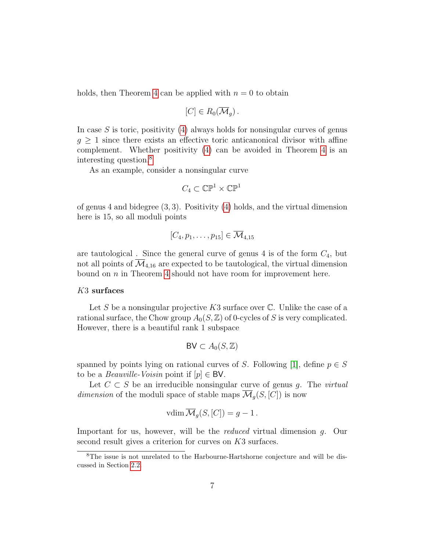holds, then Theorem [4](#page-5-0) can be applied with  $n = 0$  to obtain

$$
[C]\in R_0(\overline{\mathcal{M}}_g).
$$

In case  $S$  is toric, positivity [\(4\)](#page-5-1) always holds for nonsingular curves of genus  $q > 1$  since there exists an effective toric anticanonical divisor with affine complement. Whether positivity [\(4\)](#page-5-1) can be avoided in Theorem [4](#page-5-0) is an interesting question.[8](#page-6-0)

As an example, consider a nonsingular curve

$$
C_4\subset\mathbb{CP}^1\times\mathbb{CP}^1
$$

of genus 4 and bidegree (3, 3). Positivity [\(4\)](#page-5-1) holds, and the virtual dimension here is 15, so all moduli points

$$
[C_4, p_1, \ldots, p_{15}] \in \overline{\mathcal{M}}_{4,15}
$$

are tautological. Since the general curve of genus 4 is of the form  $C_4$ , but not all points of  $\overline{\mathcal{M}}_{4,16}$  are expected to be tautological, the virtual dimension bound on n in Theorem [4](#page-5-0) should not have room for improvement here.

#### K3 surfaces

Let S be a nonsingular projective K3 surface over  $\mathbb C$ . Unlike the case of a rational surface, the Chow group  $A_0(S, \mathbb{Z})$  of 0-cycles of S is very complicated. However, there is a beautiful rank 1 subspace

$$
BV \subset A_0(S, \mathbb{Z})
$$

spanned by points lying on rational curves of S. Following [\[1\]](#page-35-4), define  $p \in S$ to be a *Beauville-Voisin* point if  $[p] \in BV$ .

Let  $C \subset S$  be an irreducible nonsingular curve of genus g. The *virtual* dimension of the moduli space of stable maps  $\mathcal{M}_q(S, [C])$  is now

$$
vdim \overline{\mathcal{M}}_g(S, [C]) = g - 1.
$$

Important for us, however, will be the reduced virtual dimension g. Our second result gives a criterion for curves on K3 surfaces.

<span id="page-6-1"></span><span id="page-6-0"></span><sup>8</sup>The issue is not unrelated to the Harbourne-Hartshorne conjecture and will be discussed in Section [2.2.](#page-16-0)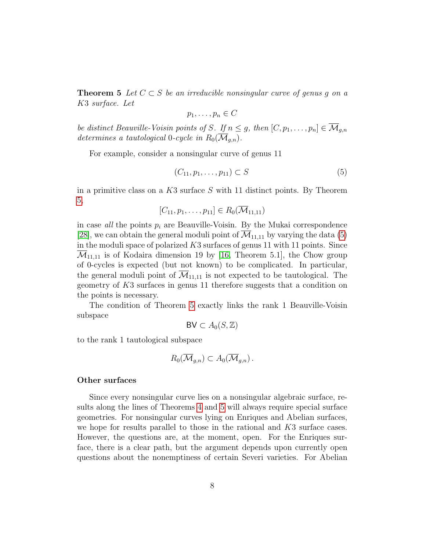**Theorem 5** Let  $C \subset S$  be an irreducible nonsingular curve of genus g on a K3 surface. Let

$$
p_1,\ldots,p_n\in C
$$

be distinct Beauville-Voisin points of S. If  $n \leq g$ , then  $[C, p_1, \ldots, p_n] \in \overline{\mathcal{M}}_{g,n}$ determines a tautological 0-cycle in  $R_0(\overline{\mathcal{M}}_{q,n}).$ 

For example, consider a nonsingular curve of genus 11

<span id="page-7-0"></span>
$$
(C_{11}, p_1, \dots, p_{11}) \subset S \tag{5}
$$

in a primitive class on a  $K3$  surface S with 11 distinct points. By Theorem [5,](#page-6-1)

$$
[C_{11}, p_1, \ldots, p_{11}] \in R_0(\overline{\mathcal{M}}_{11,11})
$$

in case *all* the points  $p_i$  are Beauville-Voisin. By the Mukai correspondence [\[28\]](#page-38-5), we can obtain the general moduli point of  $\overline{\mathcal{M}}_{11,11}$  by varying the data [\(5\)](#page-7-0) in the moduli space of polarized  $K3$  surfaces of genus 11 with 11 points. Since  $\mathcal{M}_{11,11}$  is of Kodaira dimension 19 by [\[16,](#page-36-6) Theorem 5.1], the Chow group of 0-cycles is expected (but not known) to be complicated. In particular, the general moduli point of  $\mathcal{M}_{11,11}$  is not expected to be tautological. The geometry of K3 surfaces in genus 11 therefore suggests that a condition on the points is necessary.

The condition of Theorem [5](#page-6-1) exactly links the rank 1 Beauville-Voisin subspace

$$
BV \subset A_0(S, \mathbb{Z})
$$

to the rank 1 tautological subspace

$$
R_0(\overline{\mathcal{M}}_{g,n})\subset A_0(\overline{\mathcal{M}}_{g,n}).
$$

#### Other surfaces

Since every nonsingular curve lies on a nonsingular algebraic surface, results along the lines of Theorems [4](#page-5-0) and [5](#page-6-1) will always require special surface geometries. For nonsingular curves lying on Enriques and Abelian surfaces, we hope for results parallel to those in the rational and  $K3$  surface cases. However, the questions are, at the moment, open. For the Enriques surface, there is a clear path, but the argument depends upon currently open questions about the nonemptiness of certain Severi varieties. For Abelian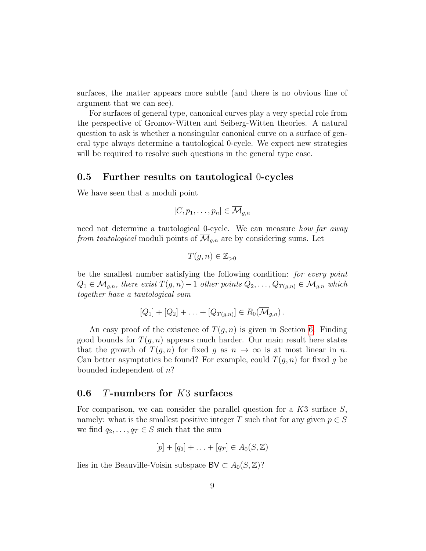surfaces, the matter appears more subtle (and there is no obvious line of argument that we can see).

For surfaces of general type, canonical curves play a very special role from the perspective of Gromov-Witten and Seiberg-Witten theories. A natural question to ask is whether a nonsingular canonical curve on a surface of general type always determine a tautological 0-cycle. We expect new strategies will be required to resolve such questions in the general type case.

#### 0.5 Further results on tautological 0-cycles

We have seen that a moduli point

$$
[C, p_1, \ldots, p_n] \in \overline{\mathcal{M}}_{g,n}
$$

need not determine a tautological 0-cycle. We can measure *how far away* from tautological moduli points of  $\overline{\mathcal{M}}_{g,n}$  are by considering sums. Let

$$
T(g, n) \in \mathbb{Z}_{>0}
$$

be the smallest number satisfying the following condition: for every point  $Q_1 \in \overline{\mathcal{M}}_{g,n}$ , there exist  $T(g,n)-1$  other points  $Q_2, \ldots, Q_{T(g,n)} \in \overline{\mathcal{M}}_{g,n}$  which together have a tautological sum

$$
[Q_1] + [Q_2] + \ldots + [Q_{T(g,n)}] \in R_0(\overline{\mathcal{M}}_{g,n}).
$$

An easy proof of the existence of  $T(q, n)$  is given in Section [6.](#page-31-0) Finding good bounds for  $T(q, n)$  appears much harder. Our main result here states that the growth of  $T(q, n)$  for fixed g as  $n \to \infty$  is at most linear in n. Can better asymptotics be found? For example, could  $T(q, n)$  for fixed g be bounded independent of n?

### 0.6 T-numbers for K3 surfaces

For comparison, we can consider the parallel question for a  $K3$  surface  $S$ , namely: what is the smallest positive integer T such that for any given  $p \in S$ we find  $q_2, \ldots, q_T \in S$  such that the sum

$$
[p] + [q_2] + \ldots + [q_T] \in A_0(S, \mathbb{Z})
$$

lies in the Beauville-Voisin subspace BV  $\subset A_0(S,\mathbb{Z})$ ?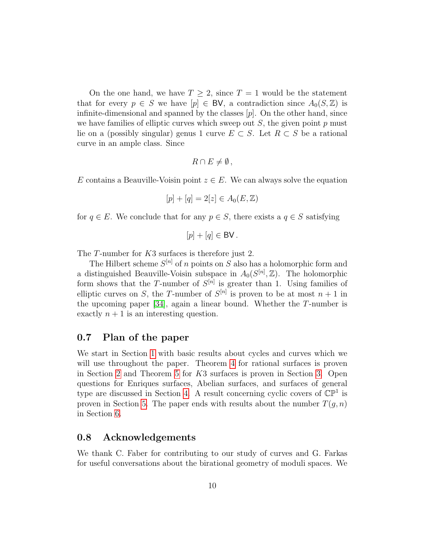On the one hand, we have  $T \geq 2$ , since  $T = 1$  would be the statement that for every  $p \in S$  we have  $[p] \in BV$ , a contradiction since  $A_0(S, \mathbb{Z})$  is infinite-dimensional and spanned by the classes  $[p]$ . On the other hand, since we have families of elliptic curves which sweep out  $S$ , the given point  $p$  must lie on a (possibly singular) genus 1 curve  $E \subset S$ . Let  $R \subset S$  be a rational curve in an ample class. Since

$$
R \cap E \neq \emptyset,
$$

E contains a Beauville-Voisin point  $z \in E$ . We can always solve the equation

$$
[p] + [q] = 2[z] \in A_0(E, \mathbb{Z})
$$

for  $q \in E$ . We conclude that for any  $p \in S$ , there exists a  $q \in S$  satisfying

$$
[p]+[q]\in\mathsf{BV}.
$$

The T-number for K3 surfaces is therefore just 2.

The Hilbert scheme  $S^{[n]}$  of n points on S also has a holomorphic form and a distinguished Beauville-Voisin subspace in  $A_0(S^{[n]}, \mathbb{Z})$ . The holomorphic form shows that the T-number of  $S^{[n]}$  is greater than 1. Using families of elliptic curves on S, the T-number of  $S^{[n]}$  is proven to be at most  $n+1$  in the upcoming paper  $[34]$ , again a linear bound. Whether the T-number is exactly  $n + 1$  is an interesting question.

### 0.7 Plan of the paper

We start in Section [1](#page-10-0) with basic results about cycles and curves which we will use throughout the paper. Theorem [4](#page-5-0) for rational surfaces is proven in Section [2](#page-13-0) and Theorem [5](#page-6-1) for K3 surfaces is proven in Section [3.](#page-17-0) Open questions for Enriques surfaces, Abelian surfaces, and surfaces of general type are discussed in Section [4.](#page-23-0) A result concerning cyclic covers of  $\mathbb{CP}^1$  is proven in Section [5.](#page-27-0) The paper ends with results about the number  $T(q, n)$ in Section [6.](#page-31-0)

### 0.8 Acknowledgements

We thank C. Faber for contributing to our study of curves and G. Farkas for useful conversations about the birational geometry of moduli spaces. We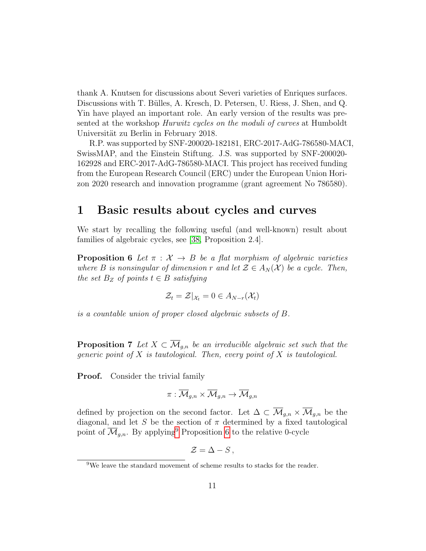thank A. Knutsen for discussions about Severi varieties of Enriques surfaces. Discussions with T. Bülles, A. Kresch, D. Petersen, U. Riess, J. Shen, and Q. Yin have played an important role. An early version of the results was presented at the workshop Hurwitz cycles on the moduli of curves at Humboldt Universität zu Berlin in February 2018.

R.P. was supported by SNF-200020-182181, ERC-2017-AdG-786580-MACI, SwissMAP, and the Einstein Stiftung. J.S. was supported by SNF-200020- 162928 and ERC-2017-AdG-786580-MACI. This project has received funding from the European Research Council (ERC) under the European Union Horizon 2020 research and innovation programme (grant agreement No 786580).

### <span id="page-10-0"></span>1 Basic results about cycles and curves

We start by recalling the following useful (and well-known) result about families of algebraic cycles, see [\[38,](#page-38-7) Proposition 2.4].

<span id="page-10-2"></span>**Proposition 6** Let  $\pi$  :  $\mathcal{X} \rightarrow B$  be a flat morphism of algebraic varieties where B is nonsingular of dimension r and let  $\mathcal{Z} \in A_N(\mathcal{X})$  be a cycle. Then, the set  $B_Z$  of points  $t \in B$  satisfying

$$
\mathcal{Z}_t = \mathcal{Z}|_{\mathcal{X}_t} = 0 \in A_{N-r}(\mathcal{X}_t)
$$

is a countable union of proper closed algebraic subsets of B.

**Proposition 7** Let  $X \subset \overline{\mathcal{M}}_{q,n}$  be an irreducible algebraic set such that the generic point of  $X$  is tautological. Then, every point of  $X$  is tautological.

**Proof.** Consider the trivial family

$$
\pi:\overline{\mathcal{M}}_{g,n}\times\overline{\mathcal{M}}_{g,n}\to\overline{\mathcal{M}}_{g,n}
$$

defined by projection on the second factor. Let  $\Delta \subset \overline{\mathcal{M}}_{g,n} \times \overline{\mathcal{M}}_{g,n}$  be the diagonal, and let S be the section of  $\pi$  determined by a fixed tautological point of  $\overline{\mathcal{M}}_{q,n}$ . By applying<sup>[9](#page-10-1)</sup> Proposition [6](#page-10-2) to the relative 0-cycle

$$
\mathcal{Z}=\Delta-S\,,
$$

<span id="page-10-1"></span><sup>&</sup>lt;sup>9</sup>We leave the standard movement of scheme results to stacks for the reader.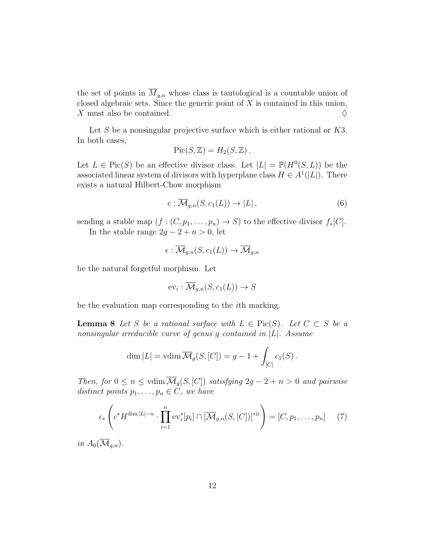the set of points in  $\overline{M}_{g,n}$  whose class is tautological is a countable union of closed algebraic sets. Since the generic point of  $X$  is contained in this union, X must also be contained.  $\Diamond$ 

Let  $S$  be a nonsingular projective surface which is either rational or  $K3$ . In both cases,

$$
Pic(S, \mathbb{Z}) = H_2(S, \mathbb{Z}).
$$

Let  $L \in Pic(S)$  be an effective divisor class. Let  $|L| = \mathbb{P}(H^0(S, L))$  be the associated linear system of divisors with hyperplane class  $H \in A^1(|L|)$ . There exists a natural Hilbert-Chow morphism

$$
c: \overline{\mathcal{M}}_{g,n}(S, c_1(L)) \to |L|,\tag{6}
$$

sending a stable map  $(f:(C, p_1, \ldots, p_n) \to S)$  to the effective divisor  $f_*[C]$ .

In the stable range  $2g - 2 + n > 0$ , let

$$
\epsilon: \overline{\mathcal{M}}_{g,n}(S, c_1(L)) \to \overline{\mathcal{M}}_{g,n}
$$

be the natural forgetful morphism. Let

$$
\text{ev}_i : \overline{\mathcal{M}}_{g,n}(S, c_1(L)) \to S
$$

<span id="page-11-1"></span>be the evaluation map corresponding to the ith marking.

**Lemma 8** Let S be a rational surface with  $L \in Pic(S)$ . Let  $C \subset S$  be a nonsingular irreducible curve of genus g contained in  $|L|$ . Assume

$$
\dim |L| = \operatorname{vdim} \overline{\mathcal{M}}_g(S, [C]) = g - 1 + \int_{[C]} c_1(S) .
$$

Then, for  $0 \leq n \leq \text{vdim }\overline{\mathcal{M}}_g(S, [C])$  satisfying  $2g - 2 + n > 0$  and pairwise distinct points  $p_1, \ldots, p_n \in C$ , we have

<span id="page-11-0"></span>
$$
\epsilon_*\left(c^*H^{\dim|L|-n}\cdot\prod_{i=1}^n\text{ev}_i^*[p_i]\cap[\overline{\mathcal{M}}_{g,n}(S,[C])]^{\text{vir}}\right)=[C,p_1,\ldots,p_n]\qquad(7)
$$

in  $A_0(\overline{\mathcal{M}}_{q,n}).$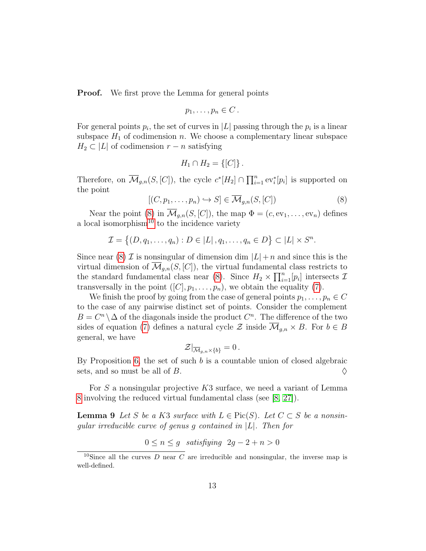**Proof.** We first prove the Lemma for general points

$$
p_1,\ldots,p_n\in C\,.
$$

For general points  $p_i$ , the set of curves in |L| passing through the  $p_i$  is a linear subspace  $H_1$  of codimension n. We choose a complementary linear subspace  $H_2 \subset |L|$  of codimension  $r - n$  satisfying

$$
H_1 \cap H_2 = \{ [C] \} .
$$

Therefore, on  $\overline{\mathcal{M}}_{g,n}(S,[C])$ , the cycle  $c^*[H_2] \cap \prod_{i=1}^n \text{ev}_i^*[p_i]$  is supported on the point

<span id="page-12-0"></span>
$$
[(C, p_1, \dots, p_n) \hookrightarrow S] \in \overline{\mathcal{M}}_{g,n}(S, [C])
$$
\n(8)

Near the point [\(8\)](#page-12-0) in  $\overline{\mathcal{M}}_{g,n}(S,[C])$ , the map  $\Phi = (c, \text{ev}_1, \ldots, \text{ev}_n)$  defines a local isomorphism<sup>[10](#page-12-1)</sup> to the incidence variety

$$
\mathcal{I} = \left\{ (D, q_1, \ldots, q_n) : D \in |L|, q_1, \ldots, q_n \in D \right\} \subset |L| \times S^n.
$$

Since near [\(8\)](#page-12-0)  $\mathcal I$  is nonsingular of dimension dim  $|L|+n$  and since this is the virtual dimension of  $\mathcal{M}_{q,n}(S,[C])$ , the virtual fundamental class restricts to the standard fundamental class near [\(8\)](#page-12-0). Since  $H_2 \times \prod_{i=1}^n [p_i]$  intersects  $\mathcal{I}$ transversally in the point  $([C], p_1, \ldots, p_n)$ , we obtain the equality [\(7\)](#page-11-0).

We finish the proof by going from the case of general points  $p_1, \ldots, p_n \in C$ to the case of any pairwise distinct set of points. Consider the complement  $B = C<sup>n</sup> \setminus \Delta$  of the diagonals inside the product  $C<sup>n</sup>$ . The difference of the two sides of equation [\(7\)](#page-11-0) defines a natural cycle  $\mathcal Z$  inside  $\overline{\mathcal M}_{q,n} \times B$ . For  $b \in B$ general, we have

<span id="page-12-2"></span>
$$
\mathcal{Z}|_{\overline{\mathcal{M}}_{g,n}\times\{b\}}=0.
$$

By Proposition [6,](#page-10-2) the set of such  $b$  is a countable union of closed algebraic sets, and so must be all of B.  $\Diamond$ 

For  $S$  a nonsingular projective  $K3$  surface, we need a variant of Lemma [8](#page-11-1) involving the reduced virtual fundamental class (see [\[8,](#page-36-7) [27\]](#page-37-5)).

**Lemma 9** Let S be a K3 surface with  $L \in Pic(S)$ . Let  $C \subset S$  be a nonsingular irreducible curve of genus g contained in |L|. Then for

$$
0 \le n \le g \quad satisfying \quad 2g - 2 + n > 0
$$

<span id="page-12-1"></span><sup>&</sup>lt;sup>10</sup>Since all the curves D near C are irreducible and nonsingular, the inverse map is well-defined.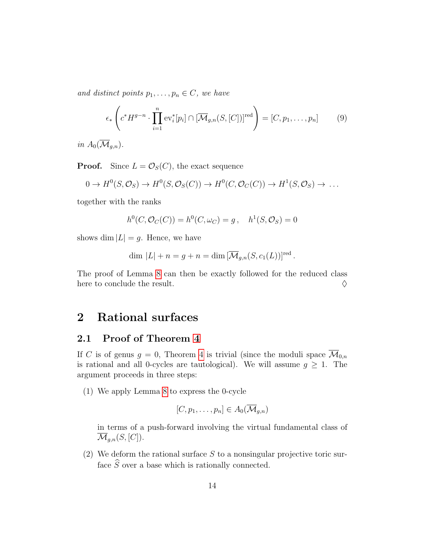and distinct points  $p_1, \ldots, p_n \in C$ , we have

$$
\epsilon_*\left(c^*H^{g-n}\cdot\prod_{i=1}^n \text{ev}_i^*[p_i]\cap[\overline{\mathcal{M}}_{g,n}(S,[C])]^{\text{red}}\right)=[C,p_1,\ldots,p_n]
$$
(9)

in  $A_0(\overline{\mathcal{M}}_{q,n}).$ 

**Proof.** Since  $L = \mathcal{O}_S(C)$ , the exact sequence

$$
0 \to H^0(S, \mathcal{O}_S) \to H^0(S, \mathcal{O}_S(C)) \to H^0(C, \mathcal{O}_C(C)) \to H^1(S, \mathcal{O}_S) \to \dots
$$

together with the ranks

$$
h^{0}(C, \mathcal{O}_{C}(C)) = h^{0}(C, \omega_{C}) = g, \quad h^{1}(S, \mathcal{O}_{S}) = 0
$$

shows dim  $|L| = q$ . Hence, we have

$$
\dim |L| + n = g + n = \dim \left[\overline{\mathcal{M}}_{g,n}(S,c_1(L))\right]^{\text{red}}.
$$

The proof of Lemma [8](#page-11-1) can then be exactly followed for the reduced class here to conclude the result.  $\Diamond$ 

### <span id="page-13-0"></span>2 Rational surfaces

## 2.1 Proof of Theorem [4](#page-5-0)

If C is of genus  $g = 0$ , Theorem [4](#page-5-0) is trivial (since the moduli space  $\overline{\mathcal{M}}_{0,n}$ is rational and all 0-cycles are tautological). We will assume  $g \geq 1$ . The argument proceeds in three steps:

(1) We apply Lemma [8](#page-11-1) to express the 0-cycle

$$
[C, p_1, \ldots, p_n] \in A_0(\overline{\mathcal{M}}_{g,n})
$$

in terms of a push-forward involving the virtual fundamental class of  $\overline{\mathcal{M}}_{g,n}(S,[C]).$ 

(2) We deform the rational surface  $S$  to a nonsingular projective toric surface  $\widehat{S}$  over a base which is rationally connected.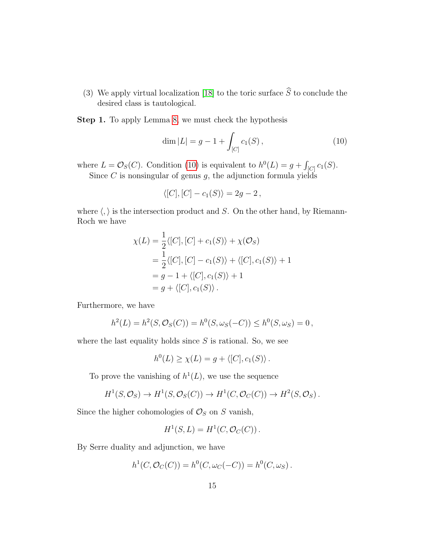(3) We apply virtual localization [\[18\]](#page-37-6) to the toric surface  $\widehat{S}$  to conclude the desired class is tautological.

Step 1. To apply Lemma [8,](#page-11-1) we must check the hypothesis

<span id="page-14-0"></span>
$$
\dim |L| = g - 1 + \int_{[C]} c_1(S) , \qquad (10)
$$

where  $L = \mathcal{O}_S(C)$ . Condition [\(10\)](#page-14-0) is equivalent to  $h^0(L) = g + \int_{[C]} c_1(S)$ . Since  $C$  is nonsingular of genus  $g$ , the adjunction formula yields

$$
\langle [C], [C] - c_1(S) \rangle = 2g - 2,
$$

where  $\langle , \rangle$  is the intersection product and S. On the other hand, by Riemann-Roch we have

$$
\chi(L) = \frac{1}{2} \langle [C], [C] + c_1(S) \rangle + \chi(\mathcal{O}_S)
$$
  
=  $\frac{1}{2} \langle [C], [C] - c_1(S) \rangle + \langle [C], c_1(S) \rangle + 1$   
=  $g - 1 + \langle [C], c_1(S) \rangle + 1$   
=  $g + \langle [C], c_1(S) \rangle$ .

Furthermore, we have

$$
h^{2}(L) = h^{2}(S, \mathcal{O}_{S}(C)) = h^{0}(S, \omega_{S}(-C)) \leq h^{0}(S, \omega_{S}) = 0,
$$

where the last equality holds since  $S$  is rational. So, we see

$$
h^{0}(L) \geq \chi(L) = g + \langle [C], c_{1}(S) \rangle.
$$

To prove the vanishing of  $h^1(L)$ , we use the sequence

$$
H^1(S, \mathcal{O}_S) \to H^1(S, \mathcal{O}_S(C)) \to H^1(C, \mathcal{O}_C(C)) \to H^2(S, \mathcal{O}_S).
$$

Since the higher cohomologies of  $\mathcal{O}_S$  on S vanish,

$$
H^1(S, L) = H^1(C, \mathcal{O}_C(C)).
$$

By Serre duality and adjunction, we have

$$
h^1(C, \mathcal{O}_C(C)) = h^0(C, \omega_C(-C)) = h^0(C, \omega_S).
$$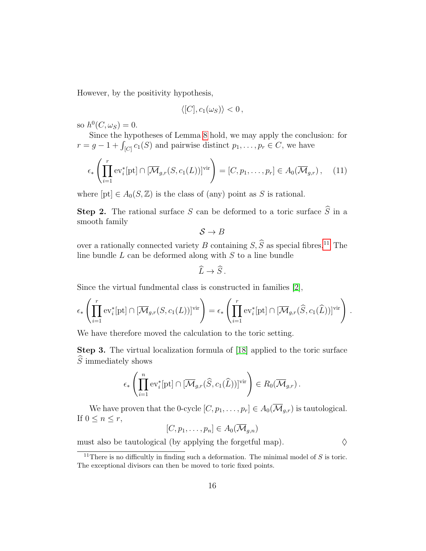However, by the positivity hypothesis,

$$
\langle [C], c_1(\omega_S) \rangle < 0,
$$

so  $h^0(C, \omega_S) = 0$ .

Since the hypotheses of Lemma [8](#page-11-1) hold, we may apply the conclusion: for  $r = g - 1 + \int_{[C]} c_1(S)$  and pairwise distinct  $p_1, \ldots, p_r \in C$ , we have

$$
\epsilon_*\left(\prod_{i=1}^r \text{ev}_i^*[{\rm pt}] \cap [\overline{\mathcal{M}}_{g,r}(S,c_1(L))]^{\text{vir}}\right) = [C, p_1, \dots, p_r] \in A_0(\overline{\mathcal{M}}_{g,r}), \quad (11)
$$

where  $[pt] \in A_0(S, \mathbb{Z})$  is the class of (any) point as S is rational.

**Step 2.** The rational surface S can be deformed to a toric surface  $\widehat{S}$  in a smooth family

$$
\mathcal{S} \to B
$$

over a rationally connected variety B containing  $S$ ,  $\widehat{S}$  as special fibres.<sup>[11](#page-15-0)</sup> The line bundle  $L$  can be deformed along with  $S$  to a line bundle

$$
\widehat{L}\to \widehat{S}.
$$

Since the virtual fundmental class is constructed in families [\[2\]](#page-35-5),

$$
\epsilon_*\left(\prod_{i=1}^r \mathrm{ev}_i^*[{\rm pt}] \cap [\overline{\mathcal{M}}_{g,r}(S,c_1(L))]^{\mathrm{vir}}\right) = \epsilon_*\left(\prod_{i=1}^r \mathrm{ev}_i^*[{\rm pt}] \cap [\overline{\mathcal{M}}_{g,r}(\widehat{S},c_1(\widehat{L}))]^{\mathrm{vir}}\right).
$$

We have therefore moved the calculation to the toric setting.

Step 3. The virtual localization formula of [\[18\]](#page-37-6) applied to the toric surface  $\widehat{S}$  immediately shows

$$
\epsilon_*\left(\prod_{i=1}^n \text{ev}_i^*[{\rm pt}] \cap [\overline{\mathcal{M}}_{g,r}(\widehat{S},c_1(\widehat{L}))]^{\text{vir}}\right) \in R_0(\overline{\mathcal{M}}_{g,r}).
$$

We have proven that the 0-cycle  $[C, p_1, \ldots, p_r] \in A_0(\overline{\mathcal{M}}_{g,r})$  is tautological. If  $0 \leq n \leq r$ ,

 $[C, p_1, \ldots, p_n] \in A_0(\overline{\mathcal{M}}_{q,n})$ 

must also be tautological (by applying the forgetful map).  $\diamond$ 

<span id="page-15-0"></span><sup>&</sup>lt;sup>11</sup>There is no difficultly in finding such a deformation. The minimal model of  $S$  is toric. The exceptional divisors can then be moved to toric fixed points.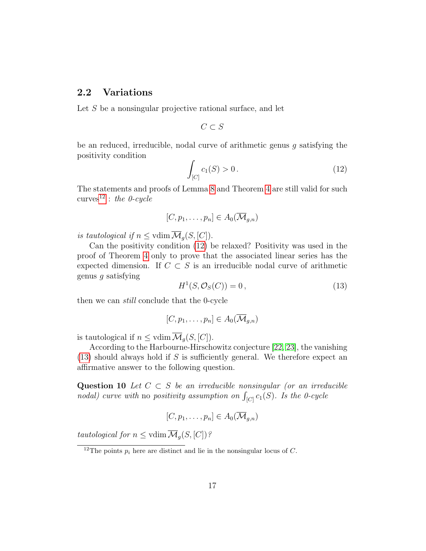### <span id="page-16-0"></span>2.2 Variations

Let S be a nonsingular projective rational surface, and let

$$
C\subset S
$$

be an reduced, irreducible, nodal curve of arithmetic genus g satisfying the positivity condition

<span id="page-16-2"></span>
$$
\int_{[C]} c_1(S) > 0. \tag{12}
$$

The statements and proofs of Lemma [8](#page-11-1) and Theorem [4](#page-5-0) are still valid for such curves<sup>[12](#page-16-1)</sup> : the 0-cycle

$$
[C, p_1, \ldots, p_n] \in A_0(\overline{\mathcal{M}}_{g,n})
$$

is tautological if  $n \leq \text{vdim }\overline{\mathcal{M}}_g(S, [C]).$ 

Can the positivity condition [\(12\)](#page-16-2) be relaxed? Positivity was used in the proof of Theorem [4](#page-5-0) only to prove that the associated linear series has the expected dimension. If  $C \subset S$  is an irreducible nodal curve of arithmetic genus g satisfying

<span id="page-16-3"></span>
$$
H^1(S, \mathcal{O}_S(C)) = 0, \qquad (13)
$$

then we can still conclude that the 0-cycle

$$
[C, p_1, \ldots, p_n] \in A_0(\overline{\mathcal{M}}_{g,n})
$$

is tautological if  $n \leq \text{vdim }\overline{\mathcal{M}}_q(S, [C])$ .

According to the Harbourne-Hirschowitz conjecture [\[22,](#page-37-7) [23\]](#page-37-8), the vanishing  $(13)$  should always hold if S is sufficiently general. We therefore expect an affirmative answer to the following question.

Question 10 Let  $C \subset S$  be an irreducible nonsingular (or an irreducible nodal) curve with no positivity assumption on  $\int_{[C]} c_1(S)$ . Is the 0-cycle

$$
[C, p_1, \ldots, p_n] \in A_0(\overline{\mathcal{M}}_{g,n})
$$

tautological for  $n \leq \text{vdim }\overline{\mathcal{M}}_g(S, [C])$ ?

<span id="page-16-1"></span><sup>&</sup>lt;sup>12</sup>The points  $p_i$  here are distinct and lie in the nonsingular locus of C.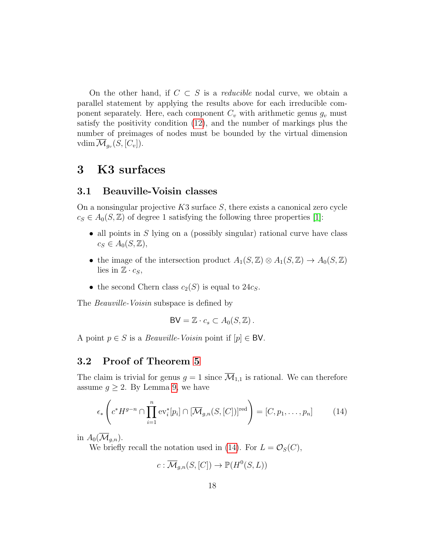On the other hand, if  $C \subset S$  is a *reducible* nodal curve, we obtain a parallel statement by applying the results above for each irreducible component separately. Here, each component  $C_v$  with arithmetic genus  $g_v$  must satisfy the positivity condition [\(12\)](#page-16-2), and the number of markings plus the number of preimages of nodes must be bounded by the virtual dimension vdim  $\overline{\mathcal M}_{g_v}(S,[C_v]).$ 

### <span id="page-17-0"></span>3 K3 surfaces

### 3.1 Beauville-Voisin classes

On a nonsingular projective  $K3$  surface S, there exists a canonical zero cycle  $c_S \in A_0(S, \mathbb{Z})$  of degree 1 satisfying the following three properties [\[1\]](#page-35-4):

- all points in  $S$  lying on a (possibly singular) rational curve have class  $c_S \in A_0(S, \mathbb{Z}),$
- the image of the intersection product  $A_1(S, \mathbb{Z}) \otimes A_1(S, \mathbb{Z}) \to A_0(S, \mathbb{Z})$ lies in  $\mathbb{Z} \cdot c_S$ ,
- the second Chern class  $c_2(S)$  is equal to  $24c_S$ .

The *Beauville-Voisin* subspace is defined by

$$
BV = \mathbb{Z} \cdot c_s \subset A_0(S, \mathbb{Z}).
$$

A point  $p \in S$  is a *Beauville-Voisin* point if  $[p] \in BV$ .

### 3.2 Proof of Theorem [5](#page-6-1)

The claim is trivial for genus  $g = 1$  since  $\overline{\mathcal{M}}_{1,1}$  is rational. We can therefore assume  $g \geq 2$ . By Lemma [9,](#page-12-2) we have

<span id="page-17-1"></span>
$$
\epsilon_*\left(c^*H^{g-n}\cap\prod_{i=1}^n \text{ev}_i^*[p_i]\cap[\overline{\mathcal{M}}_{g,n}(S,[C])]^{\text{red}}\right) = [C,p_1,\ldots,p_n]
$$
(14)

in  $A_0(\mathcal{M}_{q,n})$ .

We briefly recall the notation used in [\(14\)](#page-17-1). For  $L = \mathcal{O}_S(C)$ ,

 $c: \overline{\mathcal{M}}_{g,n}(S,[C]) \to \mathbb{P}(H^0(S,L))$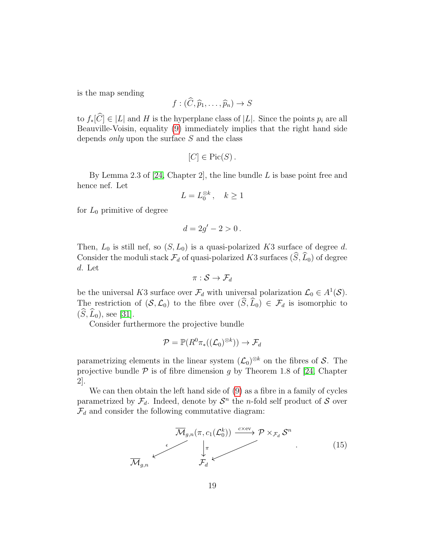is the map sending

$$
f:(\widehat{C},\widehat{p}_1,\ldots,\widehat{p}_n)\to S
$$

to  $f_*[\widehat{C}] \in |L|$  and H is the hyperplane class of  $|L|$ . Since the points  $p_i$  are all Beauville-Voisin, equality [\(9\)](#page-12-2) immediately implies that the right hand side depends  $only$  upon the surface  $S$  and the class

$$
[C] \in Pic(S).
$$

By Lemma 2.3 of [\[24,](#page-37-9) Chapter 2], the line bundle  $L$  is base point free and hence nef. Let

$$
L = L_0^{\otimes k}, \quad k \ge 1
$$

for  $L_0$  primitive of degree

$$
d=2g'-2>0.
$$

Then,  $L_0$  is still nef, so  $(S, L_0)$  is a quasi-polarized K3 surface of degree d. Consider the moduli stack  $\mathcal{F}_d$  of quasi-polarized K3 surfaces  $(\widehat{S}, \widehat{L}_0)$  of degree d. Let

$$
\pi: \mathcal{S} \rightarrow \mathcal{F}_d
$$

be the universal K3 surface over  $\mathcal{F}_d$  with universal polarization  $\mathcal{L}_0 \in A^1(\mathcal{S})$ . The restriction of  $(S, \mathcal{L}_0)$  to the fibre over  $(\widehat{S}, \widehat{L}_0) \in \mathcal{F}_d$  is isomorphic to  $(\widehat{S}, \widehat{L}_0)$ , see [\[31\]](#page-38-8).

Consider furthermore the projective bundle

$$
\mathcal{P} = \mathbb{P}(R^0\pi_*((\mathcal{L}_0)^{\otimes k})) \to \mathcal{F}_d
$$

parametrizing elements in the linear system  $(\mathcal{L}_0)^{\otimes k}$  on the fibres of S. The projective bundle  $P$  is of fibre dimension g by Theorem 1.8 of [\[24,](#page-37-9) Chapter 2].

We can then obtain the left hand side of [\(9\)](#page-12-2) as a fibre in a family of cycles parametrized by  $\mathcal{F}_d$ . Indeed, denote by  $\mathcal{S}^n$  the *n*-fold self product of  $\mathcal S$  over  $\mathcal{F}_d$  and consider the following commutative diagram:

$$
\overline{\mathcal{M}}_{g,n}(\pi, c_1(\mathcal{L}_0^k)) \xrightarrow{c \times \text{ev}} \mathcal{P} \times_{\mathcal{F}_d} \mathcal{S}^n
$$
\n
$$
\overline{\mathcal{M}}_{g,n} \longleftarrow (15)
$$
\n
$$
\overline{\mathcal{M}}_{g,n}
$$
\n
$$
(15)
$$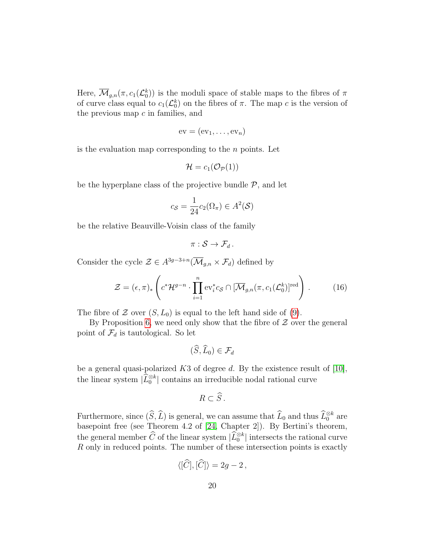Here,  $\overline{\mathcal{M}}_{g,n}(\pi, c_1(\mathcal{L}_0^k))$  is the moduli space of stable maps to the fibres of  $\pi$ of curve class equal to  $c_1(\mathcal{L}_0^k)$  on the fibres of  $\pi$ . The map c is the version of the previous map  $c$  in families, and

$$
ev = (ev_1, \ldots, ev_n)
$$

is the evaluation map corresponding to the  $n$  points. Let

$$
\mathcal{H}=c_1(\mathcal{O}_{\mathcal{P}}(1))
$$

be the hyperplane class of the projective bundle  $P$ , and let

$$
c_{\mathcal{S}} = \frac{1}{24} c_2(\Omega_\pi) \in A^2(\mathcal{S})
$$

be the relative Beauville-Voisin class of the family

$$
\pi:\mathcal{S}\to\mathcal{F}_d.
$$

Consider the cycle  $\mathcal{Z} \in A^{3g-3+n}(\overline{\mathcal{M}}_{g,n} \times \mathcal{F}_d)$  defined by

$$
\mathcal{Z} = (\epsilon, \pi)_* \left( c^* \mathcal{H}^{g-n} \cdot \prod_{i=1}^n \text{ev}_i^* c_{\mathcal{S}} \cap [\overline{\mathcal{M}}_{g,n}(\pi, c_1(\mathcal{L}_0^k)]^{\text{red}} \right).
$$
 (16)

The fibre of  $\mathcal Z$  over  $(S, L_0)$  is equal to the left hand side of [\(9\)](#page-12-2).

By Proposition [6,](#page-10-2) we need only show that the fibre of  $Z$  over the general point of  $\mathcal{F}_d$  is tautological. So let

$$
(\widetilde{S},\widetilde{L}_0)\in\mathcal{F}_d
$$

be a general quasi-polarized  $K3$  of degree d. By the existence result of [\[10\]](#page-36-8), the linear system  $|\widehat{L}_0^{\otimes k}|$  contains an irreducible nodal rational curve

$$
R\subset\widehat{S}\,.
$$

Furthermore, since  $(\widehat{S}, \widehat{L})$  is general, we can assume that  $\widehat{L}_0$  and thus  $\widehat{L}_0^{\otimes k}$  are basepoint free (see Theorem 4.2 of [\[24,](#page-37-9) Chapter 2]). By Bertini's theorem, the general member  $\widehat{C}$  of the linear system  $|\widehat{L}_0^{\otimes k}|$  intersects the rational curve R only in reduced points. The number of these intersection points is exactly

$$
\langle [\widehat{C}], [\widehat{C}] \rangle = 2g - 2 \,,
$$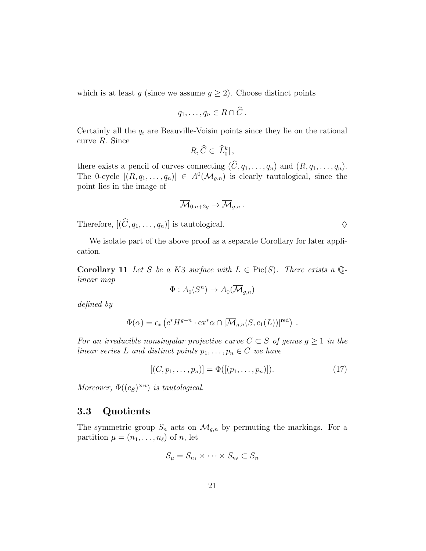which is at least g (since we assume  $g \geq 2$ ). Choose distinct points

$$
q_1,\ldots,q_n\in R\cap\hat{C}.
$$

Certainly all the  $q_i$  are Beauville-Voisin points since they lie on the rational curve R. Since

$$
R,\widehat{C}\in|\widehat{L}_0^k|\,,
$$

there exists a pencil of curves connecting  $(C, q_1, \ldots, q_n)$  and  $(R, q_1, \ldots, q_n)$ . The 0-cycle  $[(R, q_1, \ldots, q_n)] \in A^0(\overline{\mathcal{M}}_{g,n})$  is clearly tautological, since the point lies in the image of

$$
\overline{\mathcal{M}}_{0,n+2g} \to \overline{\mathcal{M}}_{g,n} \, .
$$

Therefore,  $[(\widehat{C}, q_1, \ldots, q_n)]$  is tautological.  $\diamondsuit$ 

We isolate part of the above proof as a separate Corollary for later application.

<span id="page-20-0"></span>**Corollary 11** Let S be a K3 surface with  $L \in Pic(S)$ . There exists a Qlinear map

$$
\Phi: A_0(S^n) \to A_0(\overline{\mathcal{M}}_{g,n})
$$

defined by

$$
\Phi(\alpha) = \epsilon_* \left( c^* H^{g-n} \cdot \mathrm{ev}^* \alpha \cap [\overline{\mathcal{M}}_{g,n}(S,c_1(L))]^{\mathrm{red}} \right) .
$$

For an irreducible nonsingular projective curve  $C \subset S$  of genus  $g \geq 1$  in the linear series L and distinct points  $p_1, \ldots, p_n \in C$  we have

$$
[(C, p_1, \dots, p_n)] = \Phi([(p_1, \dots, p_n)]). \tag{17}
$$

Moreover,  $\Phi((c_S)^{\times n})$  is tautological.

### 3.3 Quotients

The symmetric group  $S_n$  acts on  $\overline{\mathcal{M}}_{g,n}$  by permuting the markings. For a partition  $\mu = (n_1, \ldots, n_\ell)$  of n, let

$$
S_{\mu} = S_{n_1} \times \cdots \times S_{n_\ell} \subset S_n
$$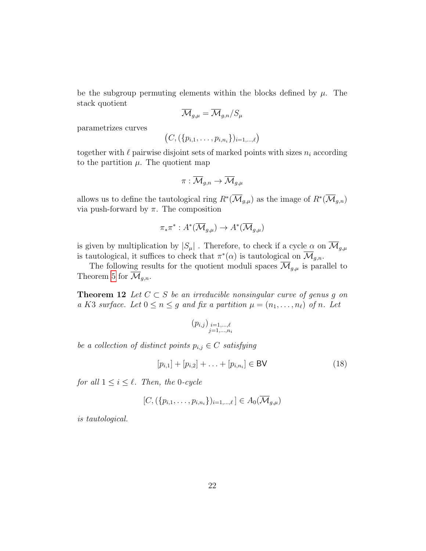be the subgroup permuting elements within the blocks defined by  $\mu$ . The stack quotient

$$
\overline{\mathcal{M}}_{g,\mu} = \overline{\mathcal{M}}_{g,n} / S_{\mu}
$$

parametrizes curves

$$
(C, (\{p_{i,1},\ldots,p_{i,n_i}\})_{i=1,\ldots,\ell})
$$

together with  $\ell$  pairwise disjoint sets of marked points with sizes  $n_i$  according to the partition  $\mu$ . The quotient map

$$
\pi: \overline{\mathcal{M}}_{g,n} \to \overline{\mathcal{M}}_{g,\mu}
$$

allows us to define the tautological ring  $R^*(\overline{\mathcal{M}}_{g,\mu})$  as the image of  $R^*(\overline{\mathcal{M}}_{g,n})$ via push-forward by π. The composition

<span id="page-21-0"></span>
$$
\pi_* \pi^* : A^* (\overline{\mathcal{M}}_{g,\mu}) \to A^* (\overline{\mathcal{M}}_{g,\mu})
$$

is given by multiplication by  $|S_\mu|$ . Therefore, to check if a cycle  $\alpha$  on  $\overline{\mathcal{M}}_{g,\mu}$ is tautological, it suffices to check that  $\pi^*(\alpha)$  is tautological on  $\overline{\mathcal{M}}_{g,n}$ .

The following results for the quotient moduli spaces  $\overline{\mathcal{M}}_{g,\mu}$  is parallel to Theorem [5](#page-6-1) for  $\overline{\mathcal{M}}_{g,n}$ .

**Theorem 12** Let  $C \subset S$  be an irreducible nonsingular curve of genus g on a K3 surface. Let  $0 \le n \le g$  and fix a partition  $\mu = (n_1, \ldots, n_\ell)$  of n. Let

$$
(p_{i,j})_{\substack{i=1,...,\ell \\ j=1,...,n_i}}
$$

be a collection of distinct points  $p_{i,j} \in C$  satisfying

$$
[p_{i,1}] + [p_{i,2}] + \ldots + [p_{i,n_i}] \in \mathsf{BV} \tag{18}
$$

for all  $1 \leq i \leq \ell$ . Then, the 0-cycle

$$
[C, (\{p_{i,1}, \ldots, p_{i,n_i}\})_{i=1,\ldots,\ell}] \in A_0(\overline{\mathcal{M}}_{g,\mu})
$$

is tautological.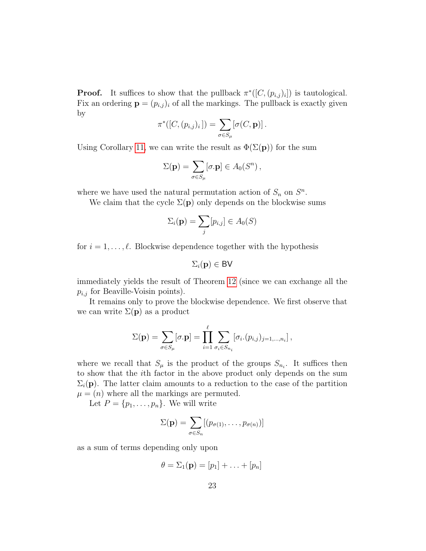**Proof.** It suffices to show that the pullback  $\pi^*([C,(p_{i,j})_i])$  is tautological. Fix an ordering  $\mathbf{p} = (p_{i,j})_i$  of all the markings. The pullback is exactly given by

$$
\pi^*([C,(p_{i,j})_i]) = \sum_{\sigma \in S_\mu} [\sigma(C,{\bf p})].
$$

Using Corollary [11,](#page-20-0) we can write the result as  $\Phi(\Sigma(\mathbf{p}))$  for the sum

$$
\Sigma(\mathbf{p}) = \sum_{\sigma \in S_{\mu}} [\sigma \cdot \mathbf{p}] \in A_0(S^n) ,
$$

where we have used the natural permutation action of  $S_n$  on  $S^n$ .

We claim that the cycle  $\Sigma(\mathbf{p})$  only depends on the blockwise sums

$$
\Sigma_i(\mathbf{p}) = \sum_j [p_{i,j}] \in A_0(S)
$$

for  $i = 1, \ldots, \ell$ . Blockwise dependence together with the hypothesis

$$
\Sigma_i(\mathbf{p})\in\mathsf{BV}
$$

immediately yields the result of Theorem [12](#page-21-0) (since we can exchange all the  $p_{i,j}$  for Beaville-Voisin points).

It remains only to prove the blockwise dependence. We first observe that we can write  $\Sigma(\mathbf{p})$  as a product

$$
\Sigma(\mathbf{p}) = \sum_{\sigma \in S_{\mu}} [\sigma \cdot \mathbf{p}] = \prod_{i=1}^{\ell} \sum_{\sigma_i \in S_{n_i}} [\sigma_i \cdot (p_{i,j})_{j=1,\dots,n_i}],
$$

where we recall that  $S_{\mu}$  is the product of the groups  $S_{n_i}$ . It suffices then to show that the ith factor in the above product only depends on the sum  $\Sigma_i(\mathbf{p})$ . The latter claim amounts to a reduction to the case of the partition  $\mu = (n)$  where all the markings are permuted.

Let  $P = \{p_1, \ldots, p_n\}$ . We will write

$$
\Sigma(\mathbf{p}) = \sum_{\sigma \in S_n} [(p_{\sigma(1)}, \dots, p_{\sigma(n)})]
$$

as a sum of terms depending only upon

$$
\theta = \Sigma_1(\mathbf{p}) = [p_1] + \ldots + [p_n]
$$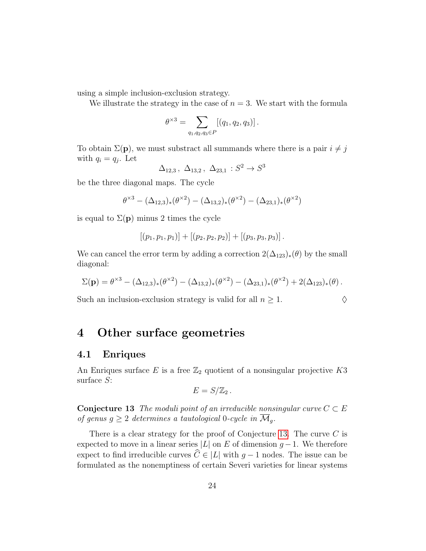using a simple inclusion-exclusion strategy.

We illustrate the strategy in the case of  $n = 3$ . We start with the formula

$$
\theta^{\times 3} = \sum_{q_1, q_2, q_3 \in P} [(q_1, q_2, q_3)].
$$

To obtain  $\Sigma(\mathbf{p})$ , we must substract all summands where there is a pair  $i \neq j$ with  $q_i = q_j$ . Let

$$
\Delta_{12,3}
$$
,  $\Delta_{13,2}$ ,  $\Delta_{23,1}$ :  $S^2 \to S^3$ 

be the three diagonal maps. The cycle

$$
\theta^{\times 3} - (\Delta_{12,3})_*(\theta^{\times 2}) - (\Delta_{13,2})_*(\theta^{\times 2}) - (\Delta_{23,1})_*(\theta^{\times 2})
$$

is equal to  $\Sigma(\mathbf{p})$  minus 2 times the cycle

$$
[(p_1, p_1, p_1)] + [(p_2, p_2, p_2)] + [(p_3, p_3, p_3)].
$$

We can cancel the error term by adding a correction  $2(\Delta_{123})_*(\theta)$  by the small diagonal:

$$
\Sigma(\mathbf{p}) = \theta^{\times 3} - (\Delta_{12,3})_*(\theta^{\times 2}) - (\Delta_{13,2})_*(\theta^{\times 2}) - (\Delta_{23,1})_*(\theta^{\times 2}) + 2(\Delta_{123})_*(\theta).
$$

Such an inclusion-exclusion strategy is valid for all  $n \geq 1$ .

### <span id="page-23-0"></span>4 Other surface geometries

#### 4.1 Enriques

An Enriques surface E is a free  $\mathbb{Z}_2$  quotient of a nonsingular projective K3 surface S:

$$
E=S/\mathbb{Z}_2.
$$

<span id="page-23-1"></span>**Conjecture 13** The moduli point of an irreducible nonsingular curve  $C \subset E$ of genus  $g \geq 2$  determines a tautological 0-cycle in  $\overline{\mathcal{M}}_g$ .

There is a clear strategy for the proof of Conjecture [13.](#page-23-1) The curve  $C$  is expected to move in a linear series  $|L|$  on E of dimension  $g-1$ . We therefore expect to find irreducible curves  $\hat{C} \in |L|$  with  $g - 1$  nodes. The issue can be formulated as the nonemptiness of certain Severi varieties for linear systems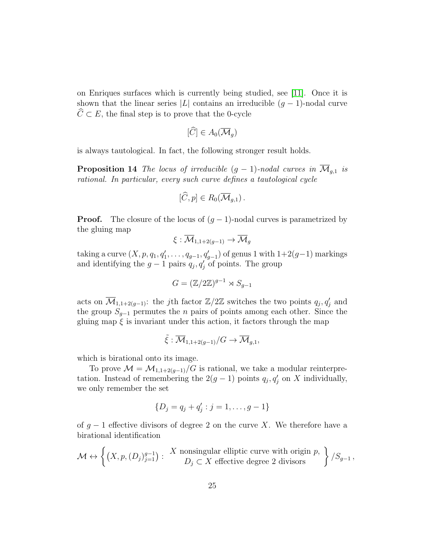on Enriques surfaces which is currently being studied, see [\[11\]](#page-36-9). Once it is shown that the linear series |L| contains an irreducible  $(q-1)$ -nodal curve  $\hat{C} \subset E$ , the final step is to prove that the 0-cycle

$$
[\widehat{C}] \in A_0(\overline{\mathcal{M}}_g)
$$

<span id="page-24-0"></span>is always tautological. In fact, the following stronger result holds.

**Proposition 14** The locus of irreducible  $(g - 1)$ -nodal curves in  $\overline{\mathcal{M}}_{g,1}$  is rational. In particular, every such curve defines a tautological cycle

$$
[\widehat{C},p]\in R_0(\overline{\mathcal{M}}_{g,1})\,.
$$

**Proof.** The closure of the locus of  $(g-1)$ -nodal curves is parametrized by the gluing map

$$
\xi:\overline{\mathcal{M}}_{1,1+2(g-1)}\to\overline{\mathcal{M}}_g
$$

taking a curve  $(X, p, q_1, q'_1, \ldots, q_{g-1}, q'_{g-1})$  of genus 1 with  $1+2(g-1)$  markings and identifying the  $g-1$  pairs  $q_j, q'_j$  of points. The group

$$
G = (\mathbb{Z}/2\mathbb{Z})^{g-1} \rtimes S_{g-1}
$$

acts on  $\overline{\mathcal{M}}_{1,1+2(g-1)}$ : the j<sup>th</sup> factor  $\mathbb{Z}/2\mathbb{Z}$  switches the two points  $q_j, q'_j$  and the group  $S_{g-1}$  permutes the *n* pairs of points among each other. Since the gluing map  $\xi$  is invariant under this action, it factors through the map

$$
\tilde{\xi} : \overline{\mathcal{M}}_{1,1+2(g-1)}/G \to \overline{\mathcal{M}}_{g,1},
$$

which is birational onto its image.

To prove  $\mathcal{M} = \mathcal{M}_{1,1+2(g-1)}/G$  is rational, we take a modular reinterpretation. Instead of remembering the  $2(g-1)$  points  $q_j, q'_j$  on X individually, we only remember the set

$$
\{D_j = q_j + q'_j : j = 1, \dots, g - 1\}
$$

of  $g-1$  effective divisors of degree 2 on the curve X. We therefore have a birational identification

$$
\mathcal{M} \leftrightarrow \left\{ (X, p, (D_j)_{j=1}^{g-1}) : \begin{array}{c} X \text{ nonsingular elliptic curve with origin } p, \\ D_j \subset X \text{ effective degree 2 divisors} \end{array} \right\} / S_{g-1},
$$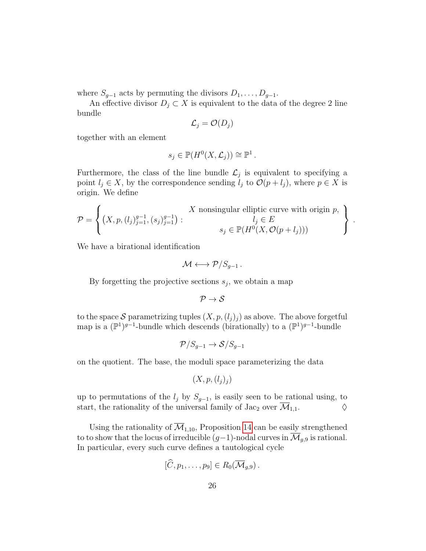where  $S_{g-1}$  acts by permuting the divisors  $D_1, \ldots, D_{g-1}$ .

An effective divisor  $D_j \subset X$  is equivalent to the data of the degree 2 line bundle

$$
\mathcal{L}_j = \mathcal{O}(D_j)
$$

together with an element

$$
s_j \in \mathbb{P}(H^0(X, \mathcal{L}_j)) \cong \mathbb{P}^1.
$$

Furthermore, the class of the line bundle  $\mathcal{L}_j$  is equivalent to specifying a point  $l_j \in X$ , by the correspondence sending  $l_j$  to  $\mathcal{O}(p + l_j)$ , where  $p \in X$  is origin. We define

$$
\mathcal{P} = \left\{ (X, p, (l_j)_{j=1}^{g-1}, (s_j)_{j=1}^{g-1}) : \begin{aligned} X \text{ nonsingular elliptic curve with origin } p, \\ l_j \in E \\ s_j \in \mathbb{P}(H^0(X, \mathcal{O}(p+l_j))) \end{aligned} \right\}
$$

.

We have a birational identification

$$
\mathcal{M} \longleftrightarrow \mathcal{P}/S_{g-1} \, .
$$

By forgetting the projective sections  $s_j$ , we obtain a map

$$
\mathcal{P} \to \mathcal{S}
$$

to the space S parametrizing tuples  $(X, p, (l_j)_j)$  as above. The above forgetful map is a  $(\mathbb{P}^1)^{g-1}$ -bundle which descends (birationally) to a  $(\mathbb{P}^1)^{g-1}$ -bundle

$$
\mathcal{P}/S_{g-1} \to \mathcal{S}/S_{g-1}
$$

on the quotient. The base, the moduli space parameterizing the data

$$
(X, p, (l_j)_j)
$$

up to permutations of the  $l_j$  by  $S_{g-1}$ , is easily seen to be rational using, to start, the rationality of the universal family of Jac<sub>2</sub> over  $\overline{\mathcal{M}}_{1,1}$ .

Using the rationality of  $\overline{\mathcal{M}}_{1,10}$ , Proposition [14](#page-24-0) can be easily strengthened to to show that the locus of irreducible  $(g-1)$ -nodal curves in  $\overline{\mathcal{M}}_{g,9}$  is rational. In particular, every such curve defines a tautological cycle

$$
[\widehat{C},p_1,\ldots,p_9]\in R_0(\overline{\mathcal{M}}_{g,9})\,.
$$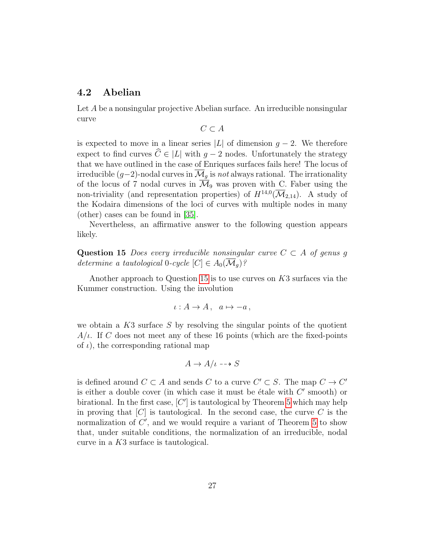### 4.2 Abelian

Let A be a nonsingular projective Abelian surface. An irreducible nonsingular curve

 $C \subset A$ 

is expected to move in a linear series  $|L|$  of dimension  $g - 2$ . We therefore expect to find curves  $\widehat{C} \in |L|$  with g − 2 nodes. Unfortunately the strategy that we have outlined in the case of Enriques surfaces fails here! The locus of irreducible  $(g-2)$ -nodal curves in  $\mathcal{M}_q$  is not always rational. The irrationality of the locus of 7 nodal curves in  $\overline{\mathcal{M}}_9$  was proven with C. Faber using the non-triviality (and representation properties) of  $H^{14,0}(\overline{\mathcal M}_{2,14})$ . A study of the Kodaira dimensions of the loci of curves with multiple nodes in many (other) cases can be found in [\[35\]](#page-38-9).

Nevertheless, an affirmative answer to the following question appears likely.

<span id="page-26-0"></span>Question 15 Does every irreducible nonsingular curve  $C \subset A$  of genus g determine a tautological 0-cycle  $[C] \in A_0(\mathcal{M}_q)$ ?

Another approach to Question [15](#page-26-0) is to use curves on K3 surfaces via the Kummer construction. Using the involution

$$
\iota: A \to A, \quad a \mapsto -a \,,
$$

we obtain a  $K3$  surface S by resolving the singular points of the quotient  $A/\iota$ . If C does not meet any of these 16 points (which are the fixed-points of  $\iota$ , the corresponding rational map

$$
A \to A/\iota \dashrightarrow S
$$

is defined around  $C \subset A$  and sends C to a curve  $C' \subset S$ . The map  $C \to C'$ is either a double cover (in which case it must be étale with  $C'$  smooth) or birational. In the first case,  $[C']$  is tautological by Theorem [5](#page-6-1) which may help in proving that  $[C]$  is tautological. In the second case, the curve C is the normalization of  $C'$ , and we would require a variant of Theorem [5](#page-6-1) to show that, under suitable conditions, the normalization of an irreducible, nodal curve in a K3 surface is tautological.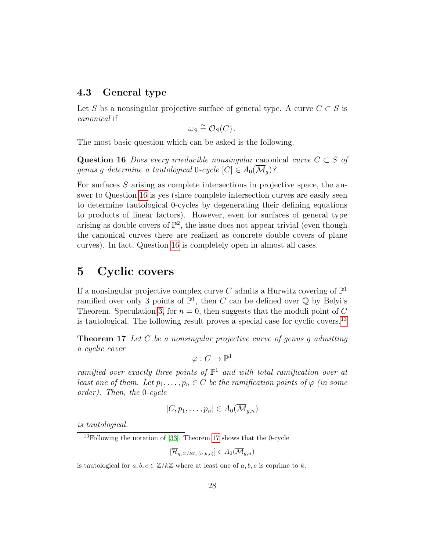### 4.3 General type

Let S bs a nonsingular projective surface of general type. A curve  $C \subset S$  is canonical if

$$
\omega_S \stackrel{\sim}{=} \mathcal{O}_S(C) \, .
$$

<span id="page-27-1"></span>The most basic question which can be asked is the following.

Question 16 Does every irreducible nonsingular canonical curve  $C \subset S$  of genus q determine a tautological 0-cycle  $[C] \in A_0(\overline{\mathcal{M}}_q)$ ?

For surfaces S arising as complete intersections in projective space, the answer to Question [16](#page-27-1) is yes (since complete intersection curves are easily seen to determine tautological 0-cycles by degenerating their defining equations to products of linear factors). However, even for surfaces of general type arising as double covers of  $\mathbb{P}^2$ , the issue does not appear trivial (even though the canonical curves there are realized as concrete double covers of plane curves). In fact, Question [16](#page-27-1) is completely open in almost all cases.

### <span id="page-27-0"></span>5 Cyclic covers

If a nonsingular projective complex curve C admits a Hurwitz covering of  $\mathbb{P}^1$ ramified over only 3 points of  $\mathbb{P}^1$ , then C can be defined over  $\overline{\mathbb{Q}}$  by Belyi's Theorem. Speculation [3,](#page-4-2) for  $n = 0$ , then suggests that the moduli point of C is tautological. The following result proves a special case for cyclic covers.[13](#page-27-2)

<span id="page-27-3"></span>**Theorem 17** Let C be a nonsingular projective curve of genus g admitting a cyclic cover

$$
\varphi:C\to \mathbb{P}^1
$$

ramified over exactly three points of  $\mathbb{P}^1$  and with total ramification over at least one of them. Let  $p_1, \ldots, p_n \in C$  be the ramification points of  $\varphi$  (in some order). Then, the 0-cycle

$$
[C, p_1, \ldots, p_n] \in A_0(\overline{\mathcal{M}}_{g,n})
$$

is tautological.

<span id="page-27-2"></span><sup>13</sup>Following the notation of [\[33\]](#page-38-10), Theorem [17](#page-27-3) shows that the 0-cycle

$$
[\overline{\mathcal{H}}_{g,\,\mathbb{Z}/k\mathbb{Z},\,(a,b,c)}] \in A_0(\overline{\mathcal{M}}_{g,n})
$$

is tautological for  $a, b, c \in \mathbb{Z}/k\mathbb{Z}$  where at least one of  $a, b, c$  is coprime to k.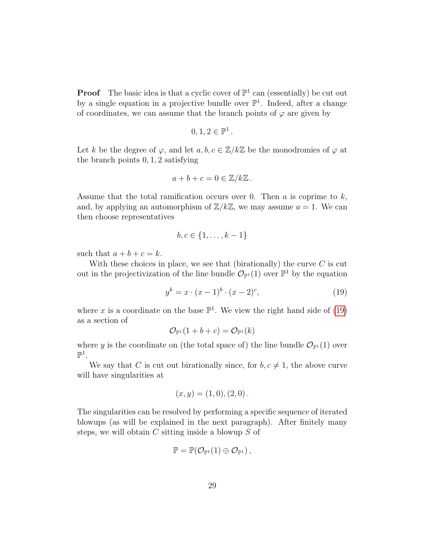**Proof** The basic idea is that a cyclic cover of  $\mathbb{P}^1$  can (essentially) be cut out by a single equation in a projective bundle over  $\mathbb{P}^1$ . Indeed, after a change of coordinates, we can assume that the branch points of  $\varphi$  are given by

$$
0,1,2\in\mathbb{P}^1
$$

.

Let k be the degree of  $\varphi$ , and let  $a, b, c \in \mathbb{Z}/k\mathbb{Z}$  be the monodromies of  $\varphi$  at the branch points 0, 1, 2 satisfying

$$
a+b+c=0\in\mathbb{Z}/k\mathbb{Z}.
$$

Assume that the total ramification occurs over 0. Then  $a$  is coprime to  $k$ , and, by applying an automorphism of  $\mathbb{Z}/k\mathbb{Z}$ , we may assume  $a = 1$ . We can then choose representatives

$$
b, c \in \{1, \ldots, k-1\}
$$

such that  $a + b + c = k$ .

With these choices in place, we see that (birationally) the curve  $C$  is cut out in the projectivization of the line bundle  $\mathcal{O}_{\mathbb{P}^1}(1)$  over  $\mathbb{P}^1$  by the equation

<span id="page-28-0"></span>
$$
y^{k} = x \cdot (x - 1)^{b} \cdot (x - 2)^{c}, \tag{19}
$$

where x is a coordinate on the base  $\mathbb{P}^1$ . We view the right hand side of [\(19\)](#page-28-0) as a section of

$$
\mathcal{O}_{\mathbb{P}^1}(1+b+c)=\mathcal{O}_{\mathbb{P}^1}(k)
$$

where y is the coordinate on (the total space of) the line bundle  $\mathcal{O}_{\mathbb{P}^1}(1)$  over  $\mathbb{P}^1$ .

We say that C is cut out birationally since, for  $b, c \neq 1$ , the above curve will have singularities at

$$
(x, y) = (1, 0), (2, 0).
$$

The singularities can be resolved by performing a specific sequence of iterated blowups (as will be explained in the next paragraph). After finitely many steps, we will obtain  $C$  sitting inside a blowup  $S$  of

$$
\mathbb{P}=\mathbb{P}(\mathcal{O}_{\mathbb{P}^1}(1)\oplus \mathcal{O}_{\mathbb{P}^1})\,,
$$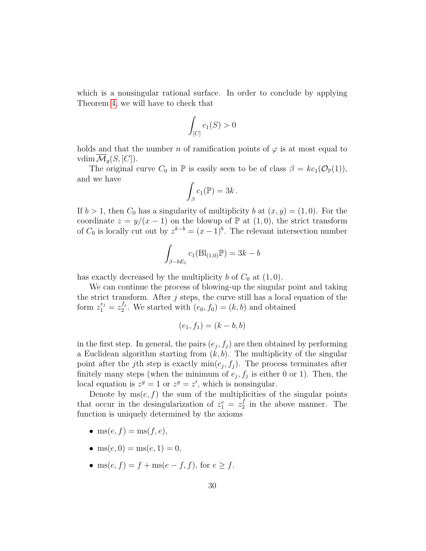which is a nonsingular rational surface. In order to conclude by applying Theorem [4,](#page-5-0) we will have to check that

$$
\int_{[C]} c_1(S) > 0
$$

holds and that the number n of ramification points of  $\varphi$  is at most equal to vdim  $\mathcal{M}_q(S, [C])$ .

The original curve  $C_0$  in  $\mathbb P$  is easily seen to be of class  $\beta = kc_1(\mathcal O_{\mathbb P}(1)),$ and we have

$$
\int_{\beta} c_1(\mathbb{P}) = 3k.
$$

If  $b > 1$ , then  $C_0$  has a singularity of multiplicity b at  $(x, y) = (1, 0)$ . For the coordinate  $z = y/(x - 1)$  on the blowup of  $\mathbb{P}$  at  $(1, 0)$ , the strict transform of  $C_0$  is locally cut out by  $z^{k-b} = (x-1)^b$ . The relevant intersection number

$$
\int_{\beta-bE_1} c_1(\text{Bl}_{(1,0)}\mathbb{P}) = 3k - b
$$

has exactly decreased by the multiplicity b of  $C_0$  at  $(1, 0)$ .

We can continue the process of blowing-up the singular point and taking the strict transform. After  $j$  steps, the curve still has a local equation of the form  $z_1^{e_j} = z_2^{f_j}$  $2^{J_j}$ . We started with  $(e_0, f_0) = (k, b)$  and obtained

$$
(e_1, f_1) = (k - b, b)
$$

in the first step. In general, the pairs  $(e_j, f_j)$  are then obtained by performing a Euclidean algorithm starting from  $(k, b)$ . The multiplicity of the singular point after the j<sup>th</sup> step is exactly  $\min(e_j, f_j)$ . The process terminates after finitely many steps (when the minimum of  $e_j$ ,  $f_j$  is either 0 or 1). Then, the local equation is  $z^g = 1$  or  $z^g = z'$ , which is nonsingular.

Denote by  $ms(e, f)$  the sum of the multiplicities of the singular points that occur in the desingularization of  $z_1^e = z_2^f$  $\frac{J}{2}$  in the above manner. The function is uniquely determined by the axioms

- ms $(e, f) =$ ms $(f, e)$ ,
- ms $(e, 0) = ms(e, 1) = 0$ ,
- ms(e, f) = f + ms(e f, f), for  $e > f$ .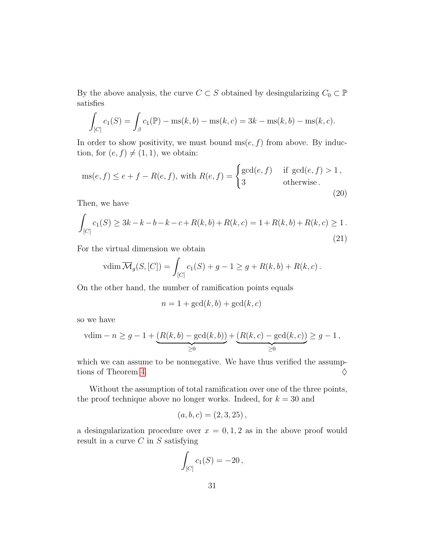By the above analysis, the curve  $C \subset S$  obtained by desingularizing  $C_0 \subset \mathbb{P}$ satisfies

$$
\int_{[C]} c_1(S) = \int_{\beta} c_1(\mathbb{P}) - \text{ms}(k, b) - \text{ms}(k, c) = 3k - \text{ms}(k, b) - \text{ms}(k, c).
$$

In order to show positivity, we must bound  $ms(e, f)$  from above. By induction, for  $(e, f) \neq (1, 1)$ , we obtain:

$$
ms(e, f) \le e + f - R(e, f), \text{ with } R(e, f) = \begin{cases} \gcd(e, f) & \text{if } \gcd(e, f) > 1, \\ 3 & \text{otherwise.} \end{cases}
$$
\n(20)

Then, we have

$$
\int_{[C]} c_1(S) \ge 3k - k - b - k - c + R(k, b) + R(k, c) = 1 + R(k, b) + R(k, c) \ge 1.
$$
\n(21)

For the virtual dimension we obtain

$$
\operatorname{vdim} \overline{\mathcal{M}}_g(S, [C]) = \int_{[C]} c_1(S) + g - 1 \ge g + R(k, b) + R(k, c).
$$

On the other hand, the number of ramification points equals

$$
n = 1 + \gcd(k, b) + \gcd(k, c)
$$

so we have

$$
vdim - n \ge g - 1 + \underbrace{(R(k, b) - \gcd(k, b))}_{\ge 0} + \underbrace{(R(k, c) - \gcd(k, c))}_{\ge 0} \ge g - 1,
$$

which we can assume to be nonnegative. We have thus verified the assump-tions of Theorem [4.](#page-5-0)  $\Diamond$ 

Without the assumption of total ramification over one of the three points, the proof technique above no longer works. Indeed, for  $k = 30$  and

$$
(a, b, c) = (2, 3, 25),
$$

a desingularization procedure over  $x = 0, 1, 2$  as in the above proof would result in a curve  $C$  in  $S$  satisfying

$$
\int_{[C]} c_1(S) = -20,
$$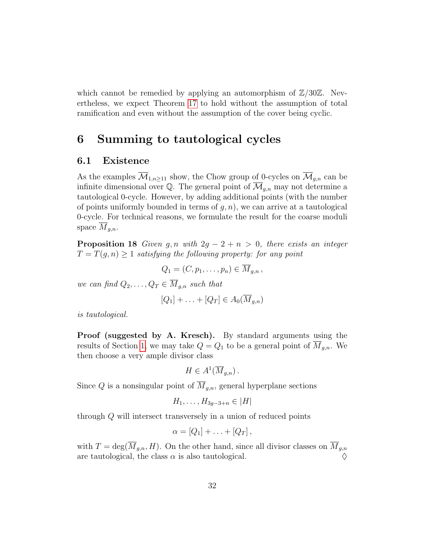which cannot be remedied by applying an automorphism of  $\mathbb{Z}/30\mathbb{Z}$ . Nevertheless, we expect Theorem [17](#page-27-3) to hold without the assumption of total ramification and even without the assumption of the cover being cyclic.

### <span id="page-31-0"></span>6 Summing to tautological cycles

### 6.1 Existence

As the examples  $\overline{\mathcal{M}}_{1,n>11}$  show, the Chow group of 0-cycles on  $\overline{\mathcal{M}}_{q,n}$  can be infinite dimensional over Q. The general point of  $\overline{\mathcal{M}}_{q,n}$  may not determine a tautological 0-cycle. However, by adding additional points (with the number of points uniformly bounded in terms of  $q, n$ , we can arrive at a tautological 0-cycle. For technical reasons, we formulate the result for the coarse moduli space  $\overline{M}_{q,n}$ .

<span id="page-31-1"></span>**Proposition 18** Given g, n with  $2g - 2 + n > 0$ , there exists an integer  $T = T(g, n) \geq 1$  satisfying the following property: for any point

$$
Q_1=(C,p_1,\ldots,p_n)\in \overline{M}_{g,n},
$$

we can find  $Q_2, \ldots, Q_T \in \overline{M}_{q,n}$  such that

$$
[Q_1] + \ldots + [Q_T] \in A_0(\overline{M}_{g,n})
$$

is tautological.

Proof (suggested by A. Kresch). By standard arguments using the results of Section [1,](#page-10-0) we may take  $Q = Q_1$  to be a general point of  $M_{g,n}$ . We then choose a very ample divisor class

$$
H \in A^1(\overline{M}_{g,n})\,.
$$

Since Q is a nonsingular point of  $\overline{M}_{q,n}$ , general hyperplane sections

$$
H_1,\ldots,H_{3g-3+n}\in|H|
$$

through Q will intersect transversely in a union of reduced points

$$
\alpha=[Q_1]+\ldots+[Q_T],
$$

with  $T = \deg(\overline{M}_{g,n}, H)$ . On the other hand, since all divisor classes on  $\overline{M}_{g,n}$ are tautological, the class  $\alpha$  is also tautological.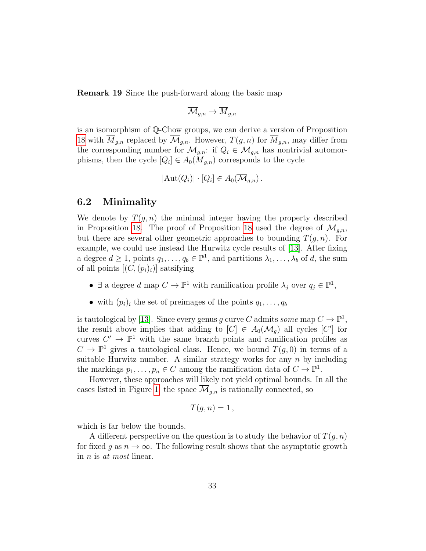Remark 19 Since the push-forward along the basic map

$$
\overline{\mathcal{M}}_{g,n}\to \overline{M}_{g,n}
$$

is an isomorphism of Q-Chow groups, we can derive a version of Proposition [18](#page-31-1) with  $\overline{M}_{g,n}$  replaced by  $\overline{\mathcal{M}}_{g,n}$ . However,  $T(g,n)$  for  $\overline{M}_{g,n}$ , may differ from the corresponding number for  $\overline{\mathcal{M}}_{g,n}$ : if  $Q_i \in \overline{\mathcal{M}}_{g,n}$  has nontrivial automorphisms, then the cycle  $[Q_i] \in A_0(M_{g,n})$  corresponds to the cycle

$$
|\text{Aut}(Q_i)| \cdot [Q_i] \in A_0(\overline{\mathcal{M}}_{g,n}).
$$

### 6.2 Minimality

We denote by  $T(q, n)$  the minimal integer having the property described in Proposition [18.](#page-31-1) The proof of Proposition [18](#page-31-1) used the degree of  $\overline{\mathcal{M}}_{q,n}$ , but there are several other geometric approaches to bounding  $T(q, n)$ . For example, we could use instead the Hurwitz cycle results of [\[13\]](#page-36-0). After fixing a degree  $d \geq 1$ , points  $q_1, \ldots, q_b \in \mathbb{P}^1$ , and partitions  $\lambda_1, \ldots, \lambda_b$  of d, the sum of all points  $[(C,(p_i)_i)]$  satsifying

- $\exists$  a degree d map  $C \to \mathbb{P}^1$  with ramification profile  $\lambda_j$  over  $q_j \in \mathbb{P}^1$ ,
- with  $(p_i)_i$  the set of preimages of the points  $q_1, \ldots, q_b$

is tautological by [\[13\]](#page-36-0). Since every genus g curve C admits some map  $C \to \mathbb{P}^1$ , the result above implies that adding to  $[C] \in A_0(\overline{\mathcal{M}}_g)$  all cycles  $[C']$  for curves  $C' \to \mathbb{P}^1$  with the same branch points and ramification profiles as  $C \to \mathbb{P}^1$  gives a tautological class. Hence, we bound  $T(g, 0)$  in terms of a suitable Hurwitz number. A similar strategy works for any  $n$  by including the markings  $p_1, \ldots, p_n \in C$  among the ramification data of  $C \to \mathbb{P}^1$ .

However, these approaches will likely not yield optimal bounds. In all the cases listed in Figure [1,](#page-2-0) the space  $\mathcal{M}_{q,n}$  is rationally connected, so

$$
T(g, n) = 1,
$$

which is far below the bounds.

A different perspective on the question is to study the behavior of  $T(q, n)$ for fixed g as  $n \to \infty$ . The following result shows that the asymptotic growth in n is at most linear.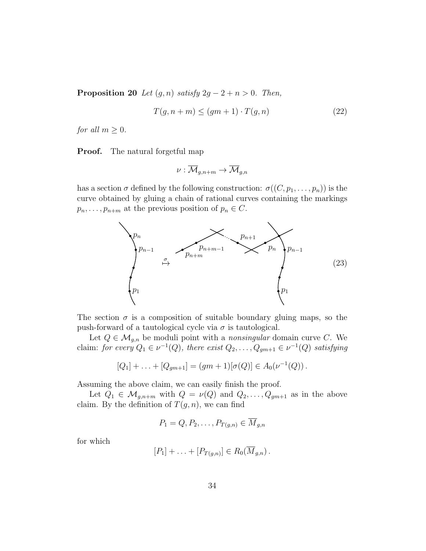**Proposition 20** Let  $(g, n)$  satisfy  $2g - 2 + n > 0$ . Then,

$$
T(g, n+m) \le (gm+1) \cdot T(g, n) \tag{22}
$$

for all  $m \geq 0$ .

**Proof.** The natural forgetful map

$$
\nu: \overline{\mathcal{M}}_{g,n+m} \to \overline{\mathcal{M}}_{g,n}
$$

has a section  $\sigma$  defined by the following construction:  $\sigma((C, p_1, \ldots, p_n))$  is the curve obtained by gluing a chain of rational curves containing the markings  $p_n, \ldots, p_{n+m}$  at the previous position of  $p_n \in C$ .



The section  $\sigma$  is a composition of suitable boundary gluing maps, so the push-forward of a tautological cycle via  $\sigma$  is tautological.

Let  $Q \in \mathcal{M}_{g,n}$  be moduli point with a *nonsingular* domain curve C. We claim: for every  $Q_1 \in \nu^{-1}(Q)$ , there exist  $Q_2, \ldots, Q_{gm+1} \in \nu^{-1}(Q)$  satisfying

$$
[Q_1] + \ldots + [Q_{gm+1}] = (gm+1)[\sigma(Q)] \in A_0(\nu^{-1}(Q)).
$$

Assuming the above claim, we can easily finish the proof.

Let  $Q_1 \in \mathcal{M}_{g,n+m}$  with  $Q = \nu(Q)$  and  $Q_2, \ldots, Q_{gm+1}$  as in the above claim. By the definition of  $T(g, n)$ , we can find

$$
P_1 = Q, P_2, \dots, P_{T(g,n)} \in \overline{M}_{g,n}
$$

for which

$$
[P_1] + \ldots + [P_{T(g,n)}] \in R_0(\overline{M}_{g,n}).
$$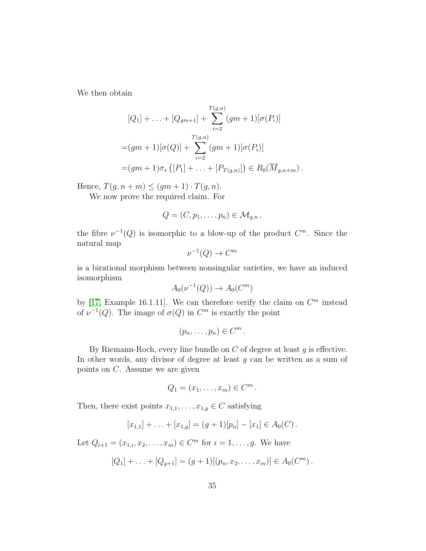We then obtain

$$
[Q_1] + \ldots + [Q_{gm+1}] + \sum_{i=2}^{T(g,n)} (gm+1)[\sigma(P_i)]
$$
  
= $(gm+1)[\sigma(Q)] + \sum_{i=2}^{T(g,n)} (gm+1)[\sigma(P_i)]$   
= $(gm+1)\sigma_* ([P_1] + \ldots + [P_{T(g,n)}]) \in R_0(\overline{M}_{g,n+m}).$ 

Hence,  $T(g, n+m) \leq (gm+1) \cdot T(g, n)$ .

We now prove the required claim. For

$$
Q=(C,p_1,\ldots,p_n)\in \mathcal{M}_{g,n},
$$

the fibre  $\nu^{-1}(Q)$  is isomorphic to a blow-up of the product  $C^m$ . Since the natural map

$$
\nu^{-1}(Q) \to C^m
$$

is a birational morphism between nonsingular varieties, we have an induced isomorphism

$$
A_0(\nu^{-1}(Q)) \to A_0(C^m)
$$

by [\[17,](#page-36-10) Example 16.1.11]. We can therefore verify the claim on  $C<sup>m</sup>$  instead of  $\nu^{-1}(Q)$ . The image of  $\sigma(Q)$  in  $C^m$  is exactly the point

$$
(p_n,\ldots,p_n)\in C^m.
$$

By Riemann-Roch, every line bundle on  $C$  of degree at least  $g$  is effective. In other words, any divisor of degree at least  $g$  can be written as a sum of points on C. Assume we are given

$$
Q_1=(x_1,\ldots,x_m)\in C^m.
$$

Then, there exist points  $x_{1,1}, \ldots, x_{1,g} \in C$  satisfying

$$
[x_{1,1}] + \ldots + [x_{1,g}] = (g+1)[p_n] - [x_1] \in A_0(C).
$$

Let  $Q_{i+1} = (x_{1,i}, x_2, \dots, x_m) \in C^m$  for  $i = 1, \dots, g$ . We have

$$
[Q_1] + \ldots + [Q_{g+1}] = (g+1)[(p_n, x_2, \ldots, x_m)] \in A_0(C^m).
$$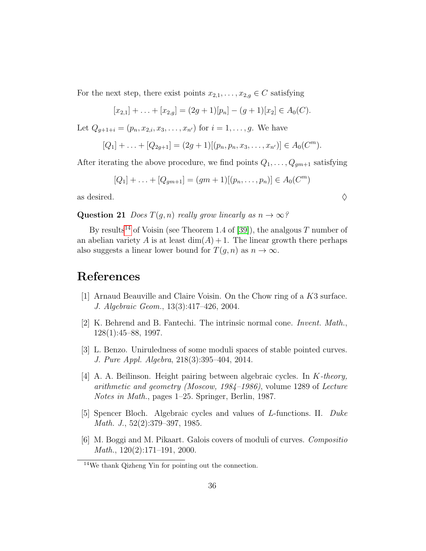For the next step, there exist points  $x_{2,1}, \ldots, x_{2,g} \in C$  satisfying

$$
[x_{2,1}] + \ldots + [x_{2,g}] = (2g+1)[p_n] - (g+1)[x_2] \in A_0(C).
$$

Let  $Q_{q+1+i} = (p_n, x_{2,i}, x_3, \ldots, x_{n'})$  for  $i = 1, \ldots, g$ . We have

$$
[Q_1] + \ldots + [Q_{2g+1}] = (2g+1)[(p_n, p_n, x_3, \ldots, x_{n'})] \in A_0(C^m).
$$

After iterating the above procedure, we find points  $Q_1, \ldots, Q_{gm+1}$  satisfying

$$
[Q_1] + \ldots + [Q_{gm+1}] = (gm+1)[(p_n, \ldots, p_n)] \in A_0(C^m)
$$

as desired.  $\Diamond$ 

Question 21 *Does*  $T(q, n)$  really grow linearly as  $n \to \infty$ ?

By results<sup>[14](#page-35-6)</sup> of Voisin (see Theorem 1.4 of [\[39\]](#page-38-11)), the analgous T number of an abelian variety A is at least  $\dim(A) + 1$ . The linear growth there perhaps also suggests a linear lower bound for  $T(q, n)$  as  $n \to \infty$ .

### References

- <span id="page-35-4"></span>[1] Arnaud Beauville and Claire Voisin. On the Chow ring of a K3 surface. J. Algebraic Geom., 13(3):417–426, 2004.
- <span id="page-35-5"></span>[2] K. Behrend and B. Fantechi. The intrinsic normal cone. Invent. Math., 128(1):45–88, 1997.
- <span id="page-35-0"></span>[3] L. Benzo. Uniruledness of some moduli spaces of stable pointed curves. J. Pure Appl. Algebra, 218(3):395–404, 2014.
- <span id="page-35-2"></span>[4] A. A. Beĭlinson. Height pairing between algebraic cycles. In  $K$ -theory, arithmetic and geometry (Moscow, 1984–1986), volume 1289 of Lecture Notes in Math., pages 1–25. Springer, Berlin, 1987.
- <span id="page-35-3"></span>[5] Spencer Bloch. Algebraic cycles and values of L-functions. II. Duke Math. J., 52(2):379–397, 1985.
- <span id="page-35-1"></span>[6] M. Boggi and M. Pikaart. Galois covers of moduli of curves. Compositio Math., 120(2):171–191, 2000.

<span id="page-35-6"></span><sup>14</sup>We thank Qizheng Yin for pointing out the connection.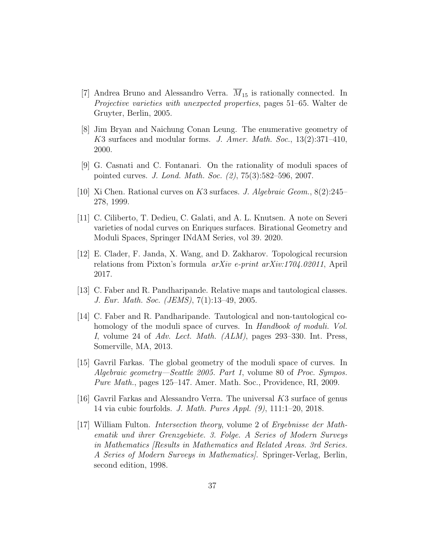- <span id="page-36-2"></span>[7] Andrea Bruno and Alessandro Verra.  $M_{15}$  is rationally connected. In Projective varieties with unexpected properties, pages 51–65. Walter de Gruyter, Berlin, 2005.
- <span id="page-36-7"></span>[8] Jim Bryan and Naichung Conan Leung. The enumerative geometry of K3 surfaces and modular forms. J. Amer. Math. Soc., 13(2):371-410, 2000.
- <span id="page-36-3"></span>[9] G. Casnati and C. Fontanari. On the rationality of moduli spaces of pointed curves. J. Lond. Math. Soc. (2), 75(3):582–596, 2007.
- <span id="page-36-8"></span>[10] Xi Chen. Rational curves on K3 surfaces. J. Algebraic Geom., 8(2):245– 278, 1999.
- <span id="page-36-9"></span>[11] C. Ciliberto, T. Dedieu, C. Galati, and A. L. Knutsen. A note on Severi varieties of nodal curves on Enriques surfaces. Birational Geometry and Moduli Spaces, Springer INdAM Series, vol 39. 2020.
- <span id="page-36-5"></span>[12] E. Clader, F. Janda, X. Wang, and D. Zakharov. Topological recursion relations from Pixton's formula arXiv e-print arXiv:1704.02011, April 2017.
- <span id="page-36-0"></span>[13] C. Faber and R. Pandharipande. Relative maps and tautological classes. J. Eur. Math. Soc. (JEMS), 7(1):13–49, 2005.
- <span id="page-36-1"></span>[14] C. Faber and R. Pandharipande. Tautological and non-tautological cohomology of the moduli space of curves. In Handbook of moduli. Vol. I, volume 24 of Adv. Lect. Math. (ALM), pages 293–330. Int. Press, Somerville, MA, 2013.
- <span id="page-36-4"></span>[15] Gavril Farkas. The global geometry of the moduli space of curves. In Algebraic geometry—Seattle 2005. Part 1, volume 80 of Proc. Sympos. Pure Math., pages 125–147. Amer. Math. Soc., Providence, RI, 2009.
- <span id="page-36-6"></span>[16] Gavril Farkas and Alessandro Verra. The universal K3 surface of genus 14 via cubic fourfolds. J. Math. Pures Appl. (9), 111:1–20, 2018.
- <span id="page-36-10"></span>[17] William Fulton. Intersection theory, volume 2 of Ergebnisse der Mathematik und ihrer Grenzgebiete. 3. Folge. A Series of Modern Surveys in Mathematics [Results in Mathematics and Related Areas. 3rd Series. A Series of Modern Surveys in Mathematics]. Springer-Verlag, Berlin, second edition, 1998.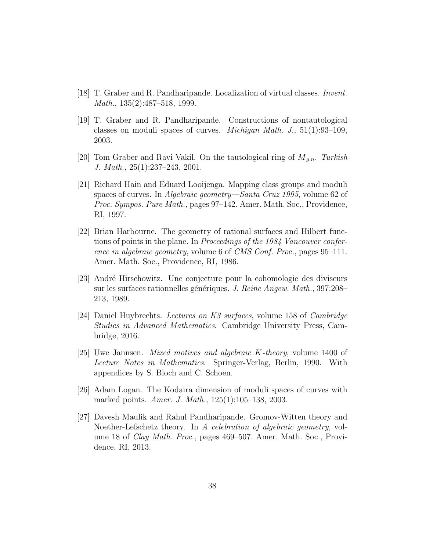- <span id="page-37-6"></span>[18] T. Graber and R. Pandharipande. Localization of virtual classes. Invent. Math., 135(2):487–518, 1999.
- <span id="page-37-3"></span>[19] T. Graber and R. Pandharipande. Constructions of nontautological classes on moduli spaces of curves. *Michigan Math. J.*,  $51(1):93-109$ , 2003.
- <span id="page-37-1"></span>[20] Tom Graber and Ravi Vakil. On the tautological ring of  $\overline{M}_{g,n}$ . Turkish J. Math., 25(1):237–243, 2001.
- <span id="page-37-2"></span>[21] Richard Hain and Eduard Looijenga. Mapping class groups and moduli spaces of curves. In Algebraic geometry—Santa Cruz 1995, volume 62 of Proc. Sympos. Pure Math., pages 97–142. Amer. Math. Soc., Providence, RI, 1997.
- <span id="page-37-7"></span>[22] Brian Harbourne. The geometry of rational surfaces and Hilbert functions of points in the plane. In Proceedings of the 1984 Vancouver conference in algebraic geometry, volume 6 of CMS Conf. Proc., pages 95–111. Amer. Math. Soc., Providence, RI, 1986.
- <span id="page-37-8"></span>[23] Andr´e Hirschowitz. Une conjecture pour la cohomologie des diviseurs sur les surfaces rationnelles génériques. J. Reine Angew. Math., 397:208– 213, 1989.
- <span id="page-37-9"></span>[24] Daniel Huybrechts. Lectures on K3 surfaces, volume 158 of Cambridge Studies in Advanced Mathematics. Cambridge University Press, Cambridge, 2016.
- <span id="page-37-4"></span>[25] Uwe Jannsen. Mixed motives and algebraic K-theory, volume 1400 of Lecture Notes in Mathematics. Springer-Verlag, Berlin, 1990. With appendices by S. Bloch and C. Schoen.
- <span id="page-37-0"></span>[26] Adam Logan. The Kodaira dimension of moduli spaces of curves with marked points. Amer. J. Math., 125(1):105–138, 2003.
- <span id="page-37-5"></span>[27] Davesh Maulik and Rahul Pandharipande. Gromov-Witten theory and Noether-Lefschetz theory. In A celebration of algebraic geometry, volume 18 of Clay Math. Proc., pages 469–507. Amer. Math. Soc., Providence, RI, 2013.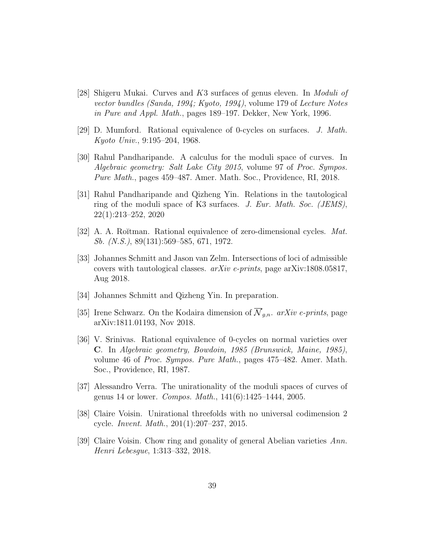- <span id="page-38-5"></span>[28] Shigeru Mukai. Curves and K3 surfaces of genus eleven. In Moduli of vector bundles (Sanda, 1994; Kyoto, 1994), volume 179 of Lecture Notes in Pure and Appl. Math., pages 189–197. Dekker, New York, 1996.
- <span id="page-38-2"></span>[29] D. Mumford. Rational equivalence of 0-cycles on surfaces. J. Math. Kyoto Univ., 9:195–204, 1968.
- <span id="page-38-0"></span>[30] Rahul Pandharipande. A calculus for the moduli space of curves. In Algebraic geometry: Salt Lake City 2015, volume 97 of Proc. Sympos. Pure Math., pages 459–487. Amer. Math. Soc., Providence, RI, 2018.
- <span id="page-38-8"></span>[31] Rahul Pandharipande and Qizheng Yin. Relations in the tautological ring of the moduli space of K3 surfaces. J. Eur. Math. Soc. (JEMS), 22(1):213–252, 2020
- <span id="page-38-3"></span>[32] A. A. Roĭtman. Rational equivalence of zero-dimensional cycles. Mat. Sb. (N.S.), 89(131):569–585, 671, 1972.
- <span id="page-38-10"></span>[33] Johannes Schmitt and Jason van Zelm. Intersections of loci of admissible covers with tautological classes.  $arXiv$  e-prints, page arXiv:1808.05817, Aug 2018.
- <span id="page-38-6"></span>[34] Johannes Schmitt and Qizheng Yin. In preparation.
- <span id="page-38-9"></span>[35] Irene Schwarz. On the Kodaira dimension of  $\overline{\mathcal{N}}_{q,n}$ . arXiv e-prints, page arXiv:1811.01193, Nov 2018.
- <span id="page-38-4"></span>[36] V. Srinivas. Rational equivalence of 0-cycles on normal varieties over C. In Algebraic geometry, Bowdoin, 1985 (Brunswick, Maine, 1985), volume 46 of Proc. Sympos. Pure Math., pages 475–482. Amer. Math. Soc., Providence, RI, 1987.
- <span id="page-38-1"></span>[37] Alessandro Verra. The unirationality of the moduli spaces of curves of genus 14 or lower. Compos. Math., 141(6):1425–1444, 2005.
- <span id="page-38-7"></span>[38] Claire Voisin. Unirational threefolds with no universal codimension 2 cycle. Invent. Math., 201(1):207–237, 2015.
- <span id="page-38-11"></span>[39] Claire Voisin. Chow ring and gonality of general Abelian varieties Ann. Henri Lebesgue, 1:313–332, 2018.